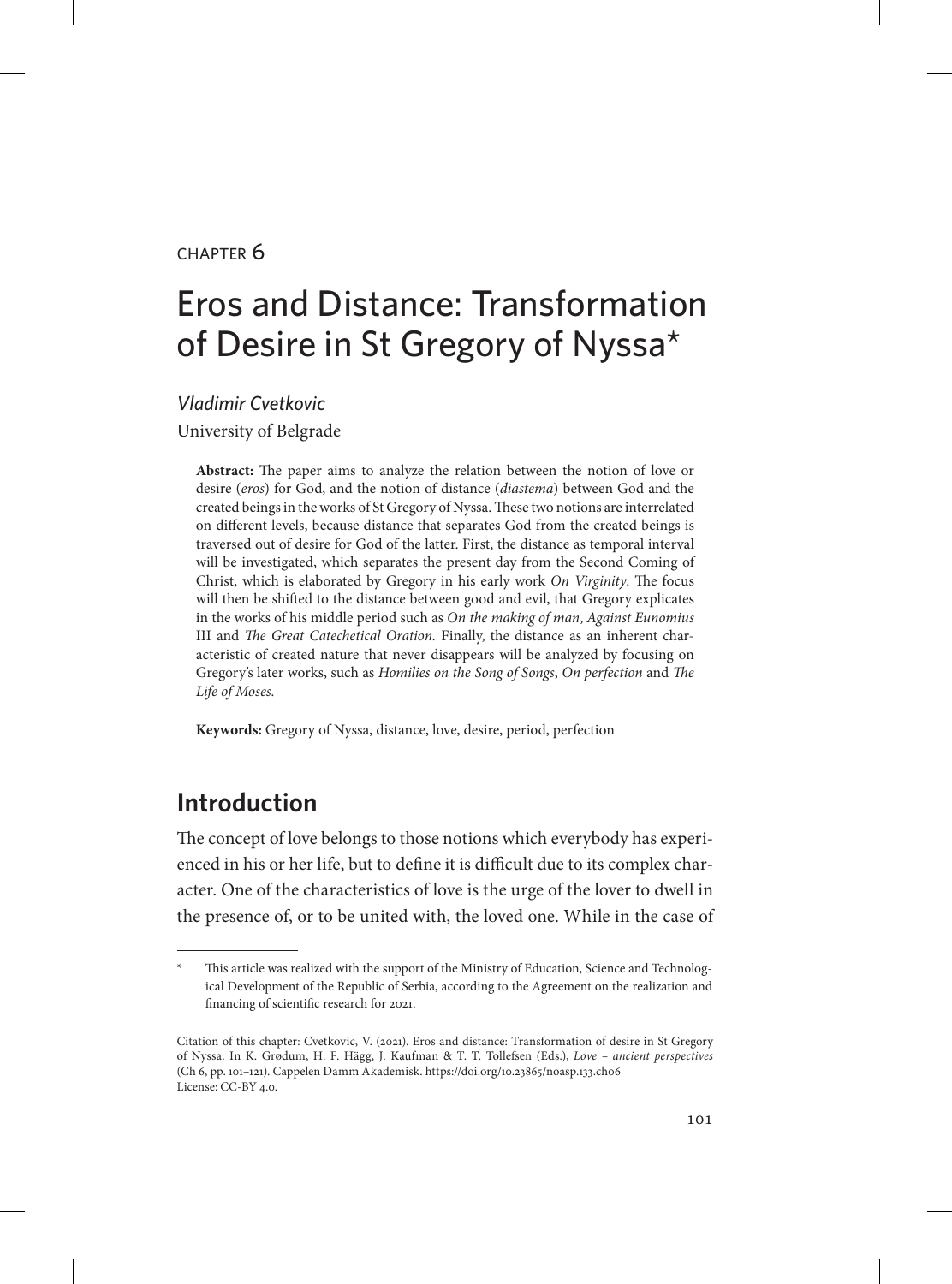#### chapter 6

# Eros and Distance: Transformation of Desire in St Gregory of Nyssa\*

*Vladimir Cvetkovic* 

University of Belgrade

**Abstract:** The paper aims to analyze the relation between the notion of love or desire (*eros*) for God, and the notion of distance (*diastema*) between God and the created beings in the works of St Gregory of Nyssa. These two notions are interrelated on different levels, because distance that separates God from the created beings is traversed out of desire for God of the latter. First, the distance as temporal interval will be investigated, which separates the present day from the Second Coming of Christ, which is elaborated by Gregory in his early work *On Virginity*. The focus will then be shifted to the distance between good and evil, that Gregory explicates in the works of his middle period such as *On the making of man*, *Against Eunomius* III and *The Great Catechetical Oration.* Finally, the distance as an inherent characteristic of created nature that never disappears will be analyzed by focusing on Gregory's later works, such as *Homilies on the Song of Songs*, *On perfection* and *The Life of Moses.*

**Keywords:** Gregory of Nyssa, distance, love, desire, period, perfection

## **Introduction**

The concept of love belongs to those notions which everybody has experienced in his or her life, but to define it is difficult due to its complex character. One of the characteristics of love is the urge of the lover to dwell in the presence of, or to be united with, the loved one. While in the case of

This article was realized with the support of the Ministry of Education, Science and Technological Development of the Republic of Serbia, according to the Agreement on the realization and financing of scientific research for 2021.

Citation of this chapter: Cvetkovic, V. (2021). Eros and distance: Transformation of desire in St Gregory of Nyssa. In K. Grødum, H. F. Hägg, J. Kaufman & T. T. Tollefsen (Eds.), *Love – ancient perspectives* (Ch 6, pp. 101–121). Cappelen Damm Akademisk. https://doi.org/10.23865/noasp.133.ch06 License: CC-BY 4.0.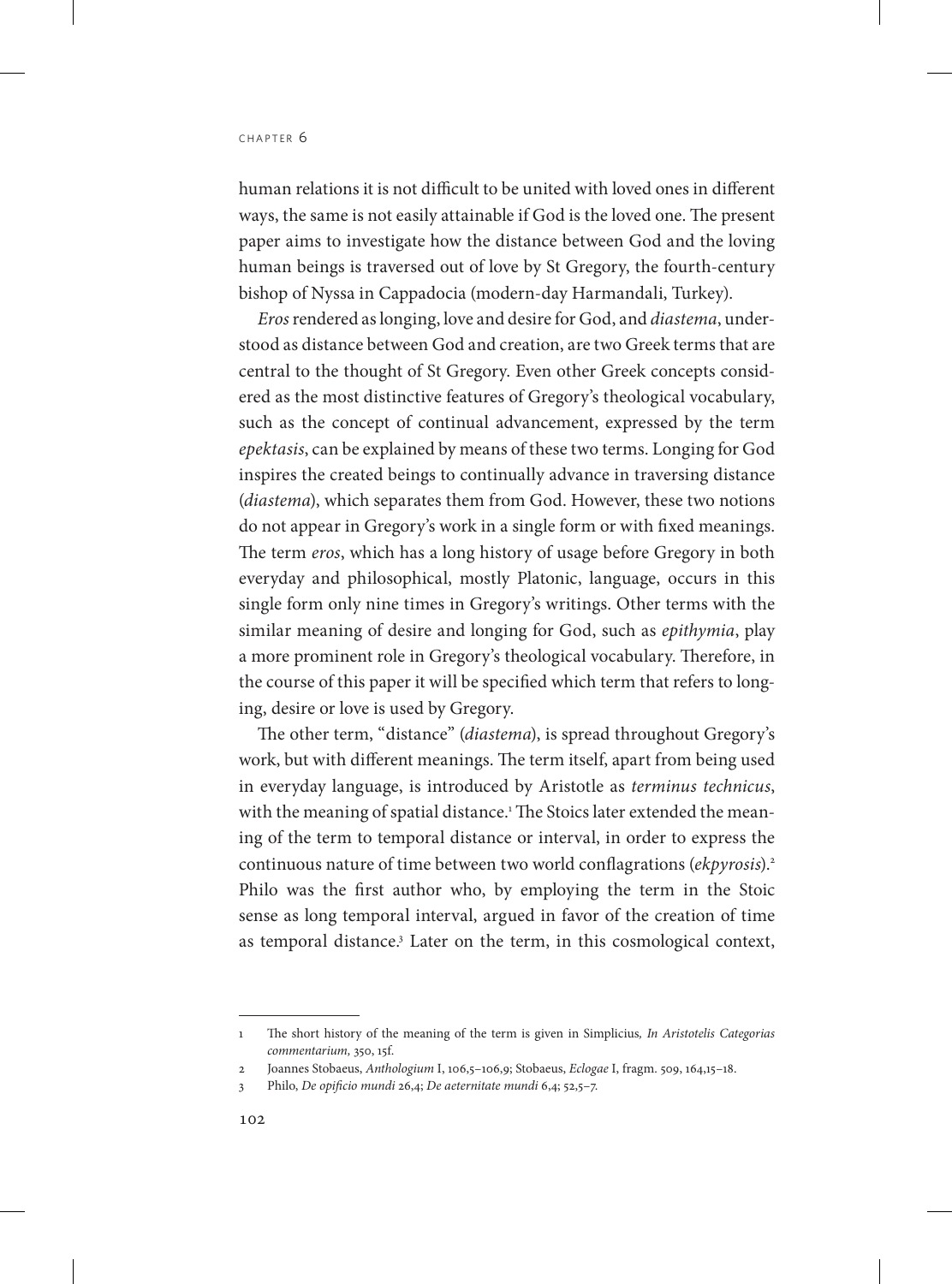human relations it is not difficult to be united with loved ones in different ways, the same is not easily attainable if God is the loved one. The present paper aims to investigate how the distance between God and the loving human beings is traversed out of love by St Gregory, the fourth-century bishop of Nyssa in Cappadocia (modern-day Harmandali, Turkey).

*Eros* rendered as longing, love and desire for God, and *diastema*, understood as distance between God and creation, are two Greek terms that are central to the thought of St Gregory. Even other Greek concepts considered as the most distinctive features of Gregory's theological vocabulary, such as the concept of continual advancement, expressed by the term *epektasis*, can be explained by means of these two terms. Longing for God inspires the created beings to continually advance in traversing distance (*diastema*), which separates them from God. However, these two notions do not appear in Gregory's work in a single form or with fixed meanings. The term *eros*, which has a long history of usage before Gregory in both everyday and philosophical, mostly Platonic, language, occurs in this single form only nine times in Gregory's writings. Other terms with the similar meaning of desire and longing for God, such as *epithymia*, play a more prominent role in Gregory's theological vocabulary. Therefore, in the course of this paper it will be specified which term that refers to longing, desire or love is used by Gregory.

The other term, "distance" (*diastema*), is spread throughout Gregory's work, but with different meanings. The term itself, apart from being used in everyday language, is introduced by Aristotle as *terminus technicus*, with the meaning of spatial distance.<sup>1</sup> The Stoics later extended the meaning of the term to temporal distance or interval, in order to express the continuous nature of time between two world conflagrations (*ekpyrosis*).2 Philo was the first author who, by employing the term in the Stoic sense as long temporal interval, argued in favor of the creation of time as temporal distance.<sup>3</sup> Later on the term, in this cosmological context,

<sup>1</sup> The short history of the meaning of the term is given in Simplicius*, In Aristotelis Categorias commentarium,* 350, 15f.

<sup>2</sup> Joannes Stobaeus, *Anthologium* I, 106,5–106,9; Stobaeus, *Eclogae* I, fragm. 509, 164,15–18.

<sup>3</sup> Philo, *De opificio mundi* 26,4; *De aeternitate mundi* 6,4; 52,5–7.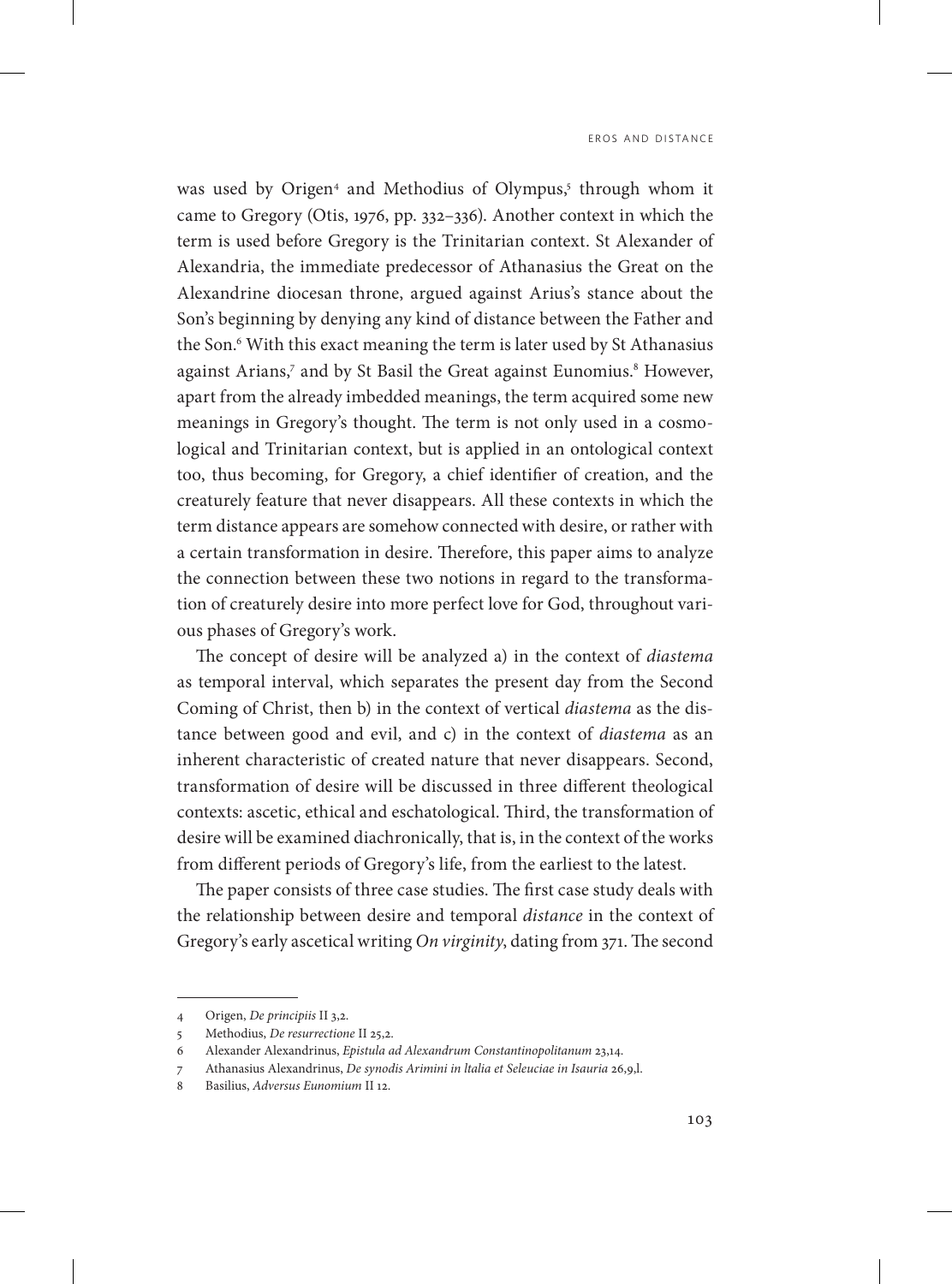was used by Origen<sup>4</sup> and Methodius of Olympus,<sup>5</sup> through whom it came to Gregory (Otis, 1976, pp. 332–336). Another context in which the term is used before Gregory is the Trinitarian context. St Alexander of Alexandria, the immediate predecessor of Athanasius the Great on the Alexandrine diocesan throne, argued against Arius's stance about the Son's beginning by denying any kind of distance between the Father and the Son.6 With this exact meaning the term is later used by St Athanasius against Arians,<sup>7</sup> and by St Basil the Great against Eunomius.<sup>8</sup> However, apart from the already imbedded meanings, the term acquired some new meanings in Gregory's thought. The term is not only used in a cosmological and Trinitarian context, but is applied in an ontological context too, thus becoming, for Gregory, a chief identifier of creation, and the creaturely feature that never disappears. All these contexts in which the term distance appears are somehow connected with desire, or rather with a certain transformation in desire. Therefore, this paper aims to analyze the connection between these two notions in regard to the transformation of creaturely desire into more perfect love for God, throughout various phases of Gregory's work.

The concept of desire will be analyzed a) in the context of *diastema* as temporal interval, which separates the present day from the Second Coming of Christ, then b) in the context of vertical *diastema* as the distance between good and evil, and c) in the context of *diastema* as an inherent characteristic of created nature that never disappears. Second, transformation of desire will be discussed in three different theological contexts: ascetic, ethical and eschatological. Third, the transformation of desire will be examined diachronically, that is, in the context of the works from different periods of Gregory's life, from the earliest to the latest.

The paper consists of three case studies. The first case study deals with the relationship between desire and temporal *distance* in the context of Gregory's early ascetical writing *On virginity*, dating from 371. The second

<sup>4</sup> Origen, *De principiis* II 3,2.

<sup>5</sup> Methodius, *De resurrectione* II 25,2.

<sup>6</sup> Alexander Alexandrinus, *Epistula ad Alexandrum Constantinopolitanum* 23,14.

<sup>7</sup> Athanasius Alexandrinus, *De synodis Arimini in ltalia et Seleuciae in Isauria* 26,9,l.

<sup>8</sup> Basilius, *Adversus Eunomium* II 12.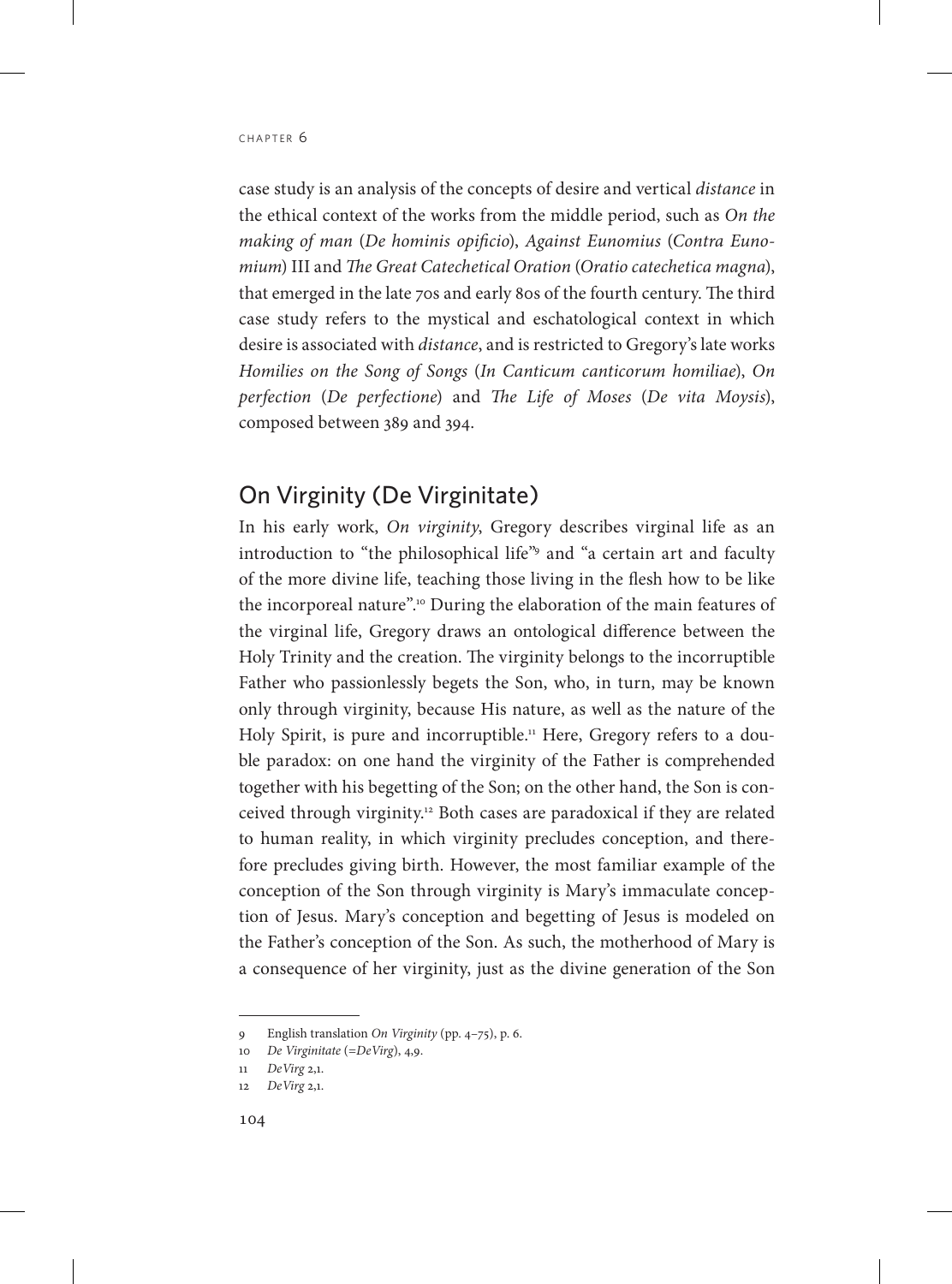case study is an analysis of the concepts of desire and vertical *distance* in the ethical context of the works from the middle period, such as *On the making of man* (*De hominis opificio*), *Against Eunomius* (*Contra Eunomium*) III and *The Great Catechetical Oration* (*Oratio catechetica magna*), that emerged in the late 70s and early 80s of the fourth century. The third case study refers to the mystical and eschatological context in which desire is associated with *distance*, and is restricted to Gregory's late works *Homilies on the Song of Songs* (*In Canticum canticorum homiliae*), *On perfection* (*De perfectione*) and *The Life of Moses* (*De vita Moysis*), composed between 389 and 394.

#### On Virginity (De Virginitate)

In his early work, *On virginity*, Gregory describes virginal life as an introduction to "the philosophical life"9 and "a certain art and faculty of the more divine life, teaching those living in the flesh how to be like the incorporeal nature".10 During the elaboration of the main features of the virginal life, Gregory draws an ontological difference between the Holy Trinity and the creation. The virginity belongs to the incorruptible Father who passionlessly begets the Son, who, in turn, may be known only through virginity, because His nature, as well as the nature of the Holy Spirit, is pure and incorruptible.<sup>11</sup> Here, Gregory refers to a double paradox: on one hand the virginity of the Father is comprehended together with his begetting of the Son; on the other hand, the Son is conceived through virginity.12 Both cases are paradoxical if they are related to human reality, in which virginity precludes conception, and therefore precludes giving birth. However, the most familiar example of the conception of the Son through virginity is Mary's immaculate conception of Jesus. Mary's conception and begetting of Jesus is modeled on the Father's conception of the Son. As such, the motherhood of Mary is a consequence of her virginity, just as the divine generation of the Son

<sup>9</sup> English translation *On Virginity* (pp. 4–75), p. 6.

<sup>10</sup> *De Virginitate* (=*DeVirg*), 4,9.

<sup>11</sup> *DeVirg* 2,1.

<sup>12</sup> *DeVirg* 2,1.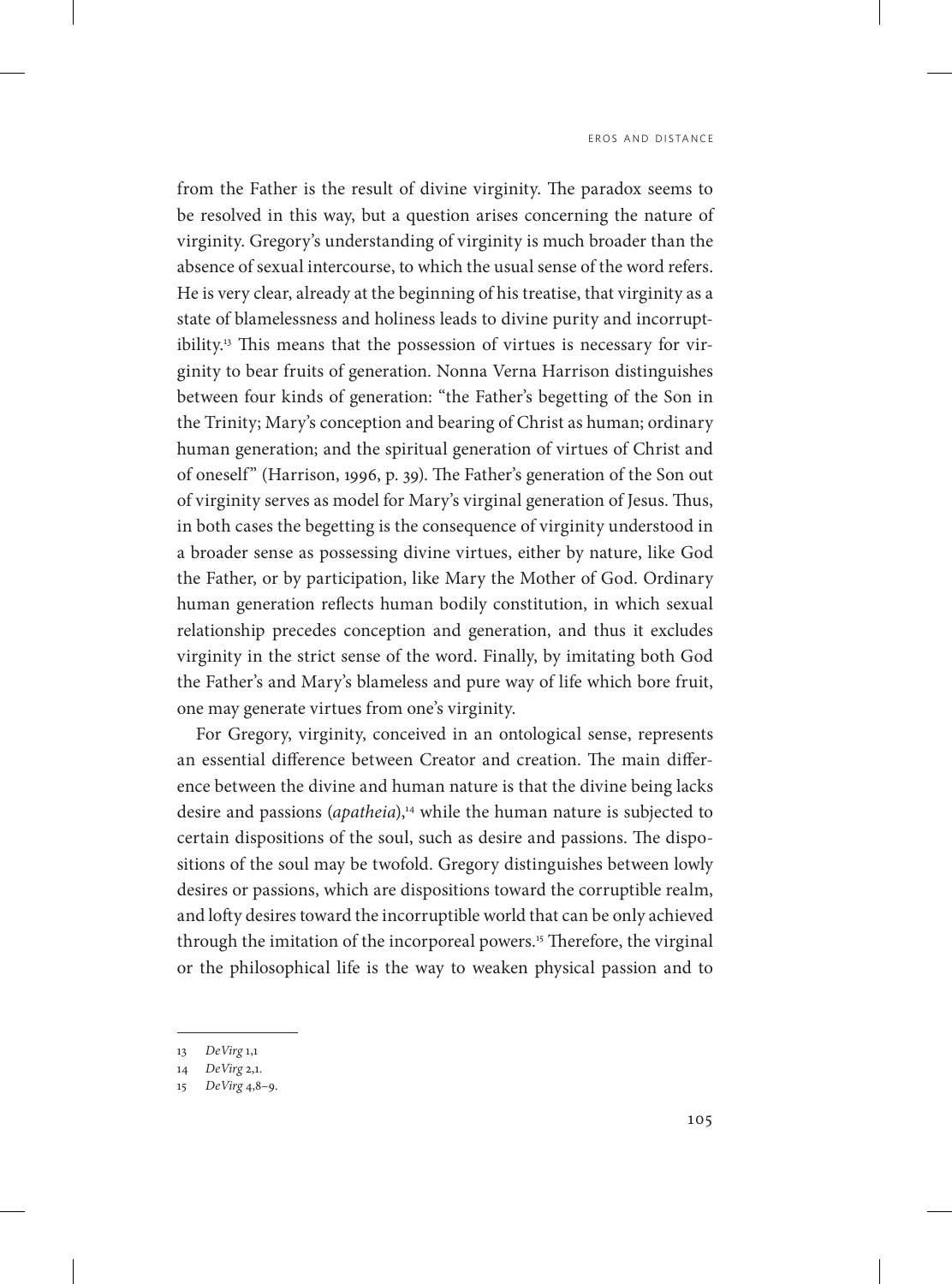from the Father is the result of divine virginity. The paradox seems to be resolved in this way, but a question arises concerning the nature of virginity. Gregory's understanding of virginity is much broader than the absence of sexual intercourse, to which the usual sense of the word refers. He is very clear, already at the beginning of his treatise, that virginity as a state of blamelessness and holiness leads to divine purity and incorruptibility.13 This means that the possession of virtues is necessary for virginity to bear fruits of generation. Nonna Verna Harrison distinguishes between four kinds of generation: "the Father's begetting of the Son in the Trinity; Mary's conception and bearing of Christ as human; ordinary human generation; and the spiritual generation of virtues of Christ and of oneself" (Harrison, 1996, p. 39). The Father's generation of the Son out of virginity serves as model for Mary's virginal generation of Jesus. Thus, in both cases the begetting is the consequence of virginity understood in a broader sense as possessing divine virtues, either by nature, like God the Father, or by participation, like Mary the Mother of God. Ordinary human generation reflects human bodily constitution, in which sexual relationship precedes conception and generation, and thus it excludes virginity in the strict sense of the word. Finally, by imitating both God the Father's and Mary's blameless and pure way of life which bore fruit, one may generate virtues from one's virginity.

For Gregory, virginity, conceived in an ontological sense, represents an essential difference between Creator and creation. The main difference between the divine and human nature is that the divine being lacks desire and passions (*apatheia*),<sup>14</sup> while the human nature is subjected to certain dispositions of the soul, such as desire and passions. The dispositions of the soul may be twofold. Gregory distinguishes between lowly desires or passions, which are dispositions toward the corruptible realm, and lofty desires toward the incorruptible world that can be only achieved through the imitation of the incorporeal powers.<sup>15</sup> Therefore, the virginal or the philosophical life is the way to weaken physical passion and to

<sup>13</sup> *DeVirg* 1,1

<sup>14</sup> *DeVirg* 2,1.

<sup>15</sup> *DeVirg* 4,8–9.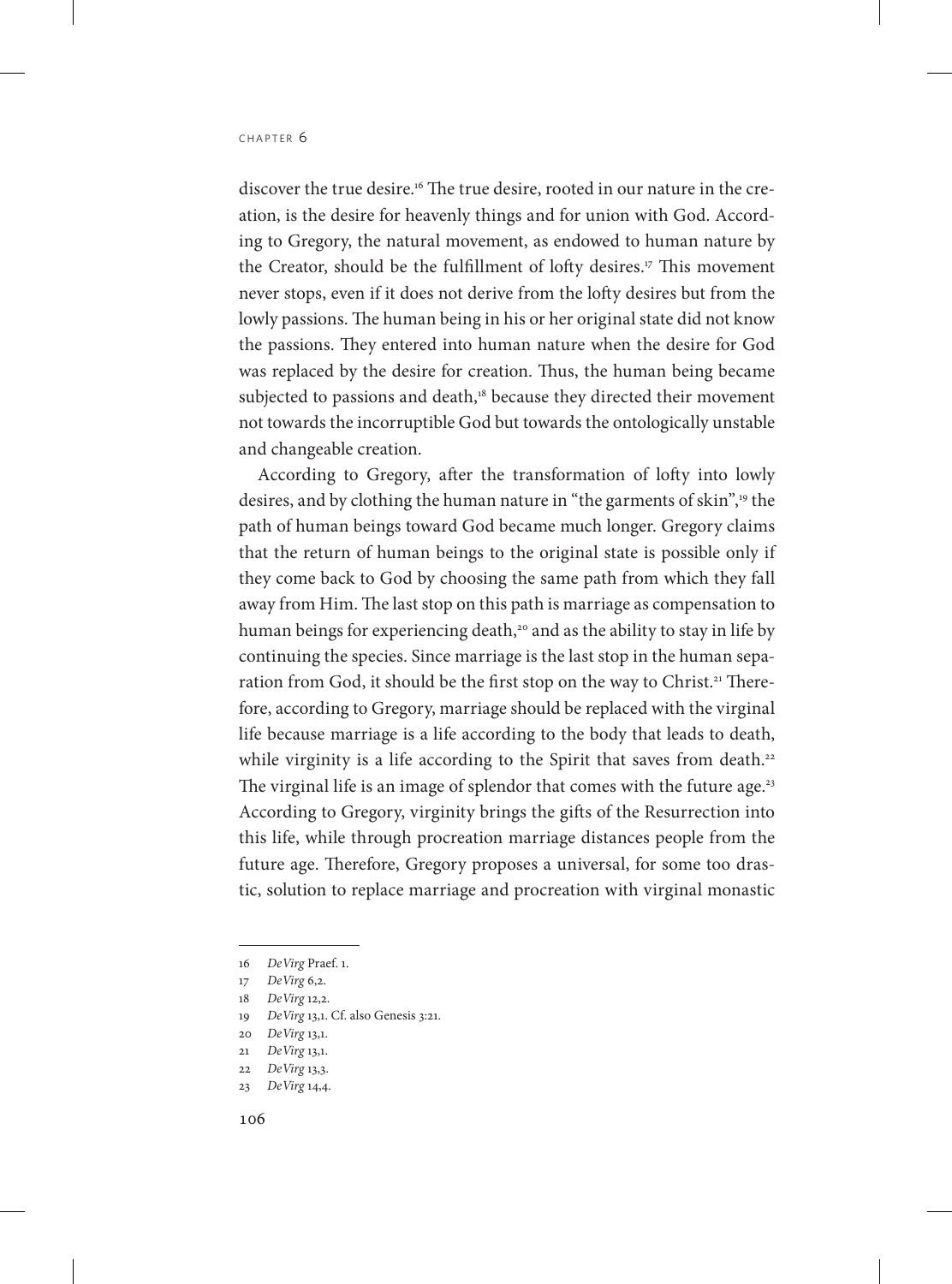discover the true desire.16 The true desire, rooted in our nature in the creation, is the desire for heavenly things and for union with God. According to Gregory, the natural movement, as endowed to human nature by the Creator, should be the fulfillment of lofty desires.17 This movement never stops, even if it does not derive from the lofty desires but from the lowly passions. The human being in his or her original state did not know the passions. They entered into human nature when the desire for God was replaced by the desire for creation. Thus, the human being became subjected to passions and death,<sup>18</sup> because they directed their movement not towards the incorruptible God but towards the ontologically unstable and changeable creation.

According to Gregory, after the transformation of lofty into lowly desires, and by clothing the human nature in "the garments of skin",<sup>19</sup> the path of human beings toward God became much longer. Gregory claims that the return of human beings to the original state is possible only if they come back to God by choosing the same path from which they fall away from Him. The last stop on this path is marriage as compensation to human beings for experiencing death,<sup>20</sup> and as the ability to stay in life by continuing the species. Since marriage is the last stop in the human separation from God, it should be the first stop on the way to Christ.<sup>21</sup> Therefore, according to Gregory, marriage should be replaced with the virginal life because marriage is a life according to the body that leads to death, while virginity is a life according to the Spirit that saves from death.<sup>22</sup> The virginal life is an image of splendor that comes with the future age.<sup>23</sup> According to Gregory, virginity brings the gifts of the Resurrection into this life, while through procreation marriage distances people from the future age. Therefore, Gregory proposes a universal, for some too drastic, solution to replace marriage and procreation with virginal monastic

<sup>16</sup> *DeVirg* Praef. 1.

<sup>17</sup> *DeVirg* 6,2.

<sup>18</sup> *DeVirg* 12,2.

<sup>19</sup> *DeVirg* 13,1. Cf. also Genesis 3:21.

<sup>20</sup> *DeVirg* 13,1.

<sup>21</sup> *DeVirg* 13,1.

<sup>22</sup> *DeVirg* 13,3.

<sup>23</sup> *DeVirg* 14,4.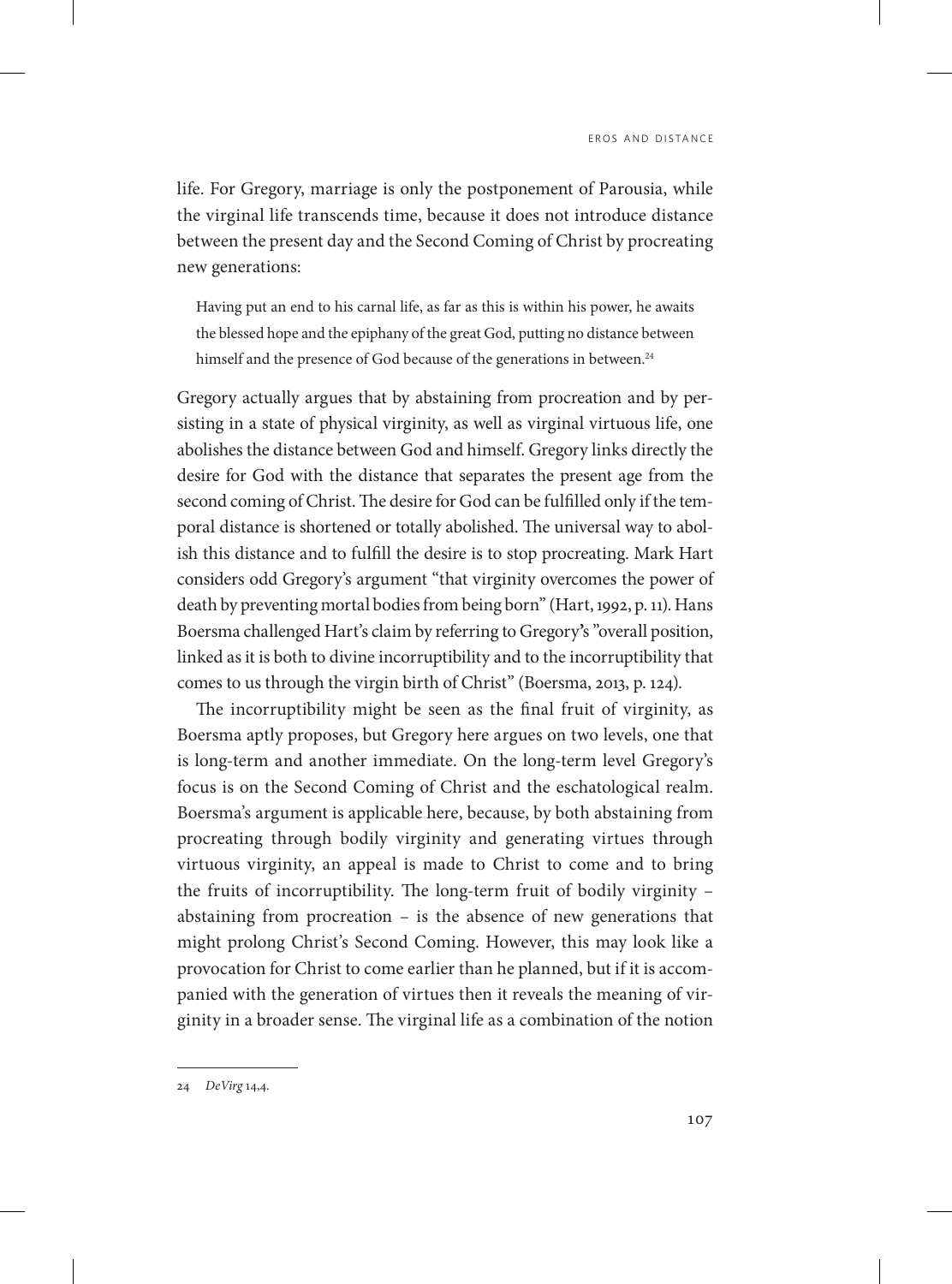life. For Gregory, marriage is only the postponement of Parousia, while the virginal life transcends time, because it does not introduce distance between the present day and the Second Coming of Christ by procreating new generations:

Having put an end to his carnal life, as far as this is within his power, he awaits the blessed hope and the epiphany of the great God, putting no distance between himself and the presence of God because of the generations in between.<sup>24</sup>

Gregory actually argues that by abstaining from procreation and by persisting in a state of physical virginity, as well as virginal virtuous life, one abolishes the distance between God and himself. Gregory links directly the desire for God with the distance that separates the present age from the second coming of Christ. The desire for God can be fulfilled only if the temporal distance is shortened or totally abolished. The universal way to abolish this distance and to fulfill the desire is to stop procreating. Mark Hart considers odd Gregory's argument "that virginity overcomes the power of death by preventing mortal bodies from being born" (Hart, 1992, p. 11). Hans Boersma challenged Hart's claim by referring to Gregory**'**s "overall position, linked as it is both to divine incorruptibility and to the incorruptibility that comes to us through the virgin birth of Christ" (Boersma, 2013, p. 124).

The incorruptibility might be seen as the final fruit of virginity, as Boersma aptly proposes, but Gregory here argues on two levels, one that is long-term and another immediate. On the long-term level Gregory's focus is on the Second Coming of Christ and the eschatological realm. Boersma's argument is applicable here, because, by both abstaining from procreating through bodily virginity and generating virtues through virtuous virginity, an appeal is made to Christ to come and to bring the fruits of incorruptibility. The long-term fruit of bodily virginity – abstaining from procreation – is the absence of new generations that might prolong Christ's Second Coming. However, this may look like a provocation for Christ to come earlier than he planned, but if it is accompanied with the generation of virtues then it reveals the meaning of virginity in a broader sense. The virginal life as a combination of the notion

<sup>24</sup> *DeVirg* 14,4.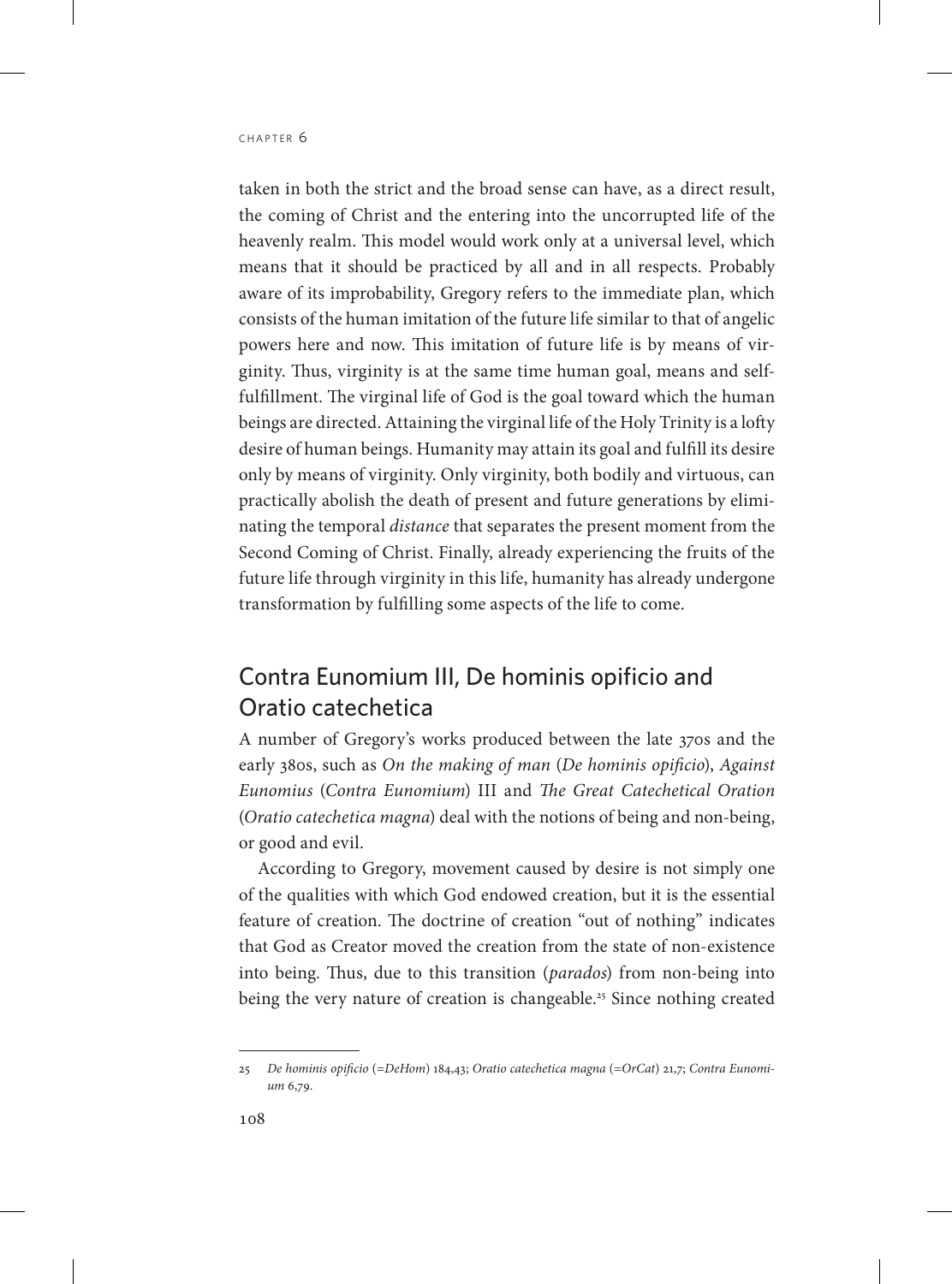taken in both the strict and the broad sense can have, as a direct result, the coming of Christ and the entering into the uncorrupted life of the heavenly realm. This model would work only at a universal level, which means that it should be practiced by all and in all respects. Probably aware of its improbability, Gregory refers to the immediate plan, which consists of the human imitation of the future life similar to that of angelic powers here and now. This imitation of future life is by means of virginity. Thus, virginity is at the same time human goal, means and selffulfillment. The virginal life of God is the goal toward which the human beings are directed. Attaining the virginal life of the Holy Trinity is a lofty desire of human beings. Humanity may attain its goal and fulfill its desire only by means of virginity. Only virginity, both bodily and virtuous, can practically abolish the death of present and future generations by eliminating the temporal *distance* that separates the present moment from the Second Coming of Christ. Finally, already experiencing the fruits of the future life through virginity in this life, humanity has already undergone transformation by fulfilling some aspects of the life to come.

## Contra Eunomium III, De hominis opificio and Oratio catechetica

A number of Gregory's works produced between the late 370s and the early 380s, such as *On the making of man* (*De hominis opificio*), *Against Eunomius* (*Contra Eunomium*) III and *The Great Catechetical Oration*  (*Oratio catechetica magna*) deal with the notions of being and non-being, or good and evil.

According to Gregory, movement caused by desire is not simply one of the qualities with which God endowed creation, but it is the essential feature of creation. The doctrine of creation "out of nothing" indicates that God as Creator moved the creation from the state of non-existence into being. Thus, due to this transition (*parados*) from non-being into being the very nature of creation is changeable.<sup>25</sup> Since nothing created

<sup>25</sup> *De hominis opificio* (=*DeHom*) 184,43; *Oratio catechetica magna* (=*OrCat*) 21,7; *Contra Eunomium* 6,79.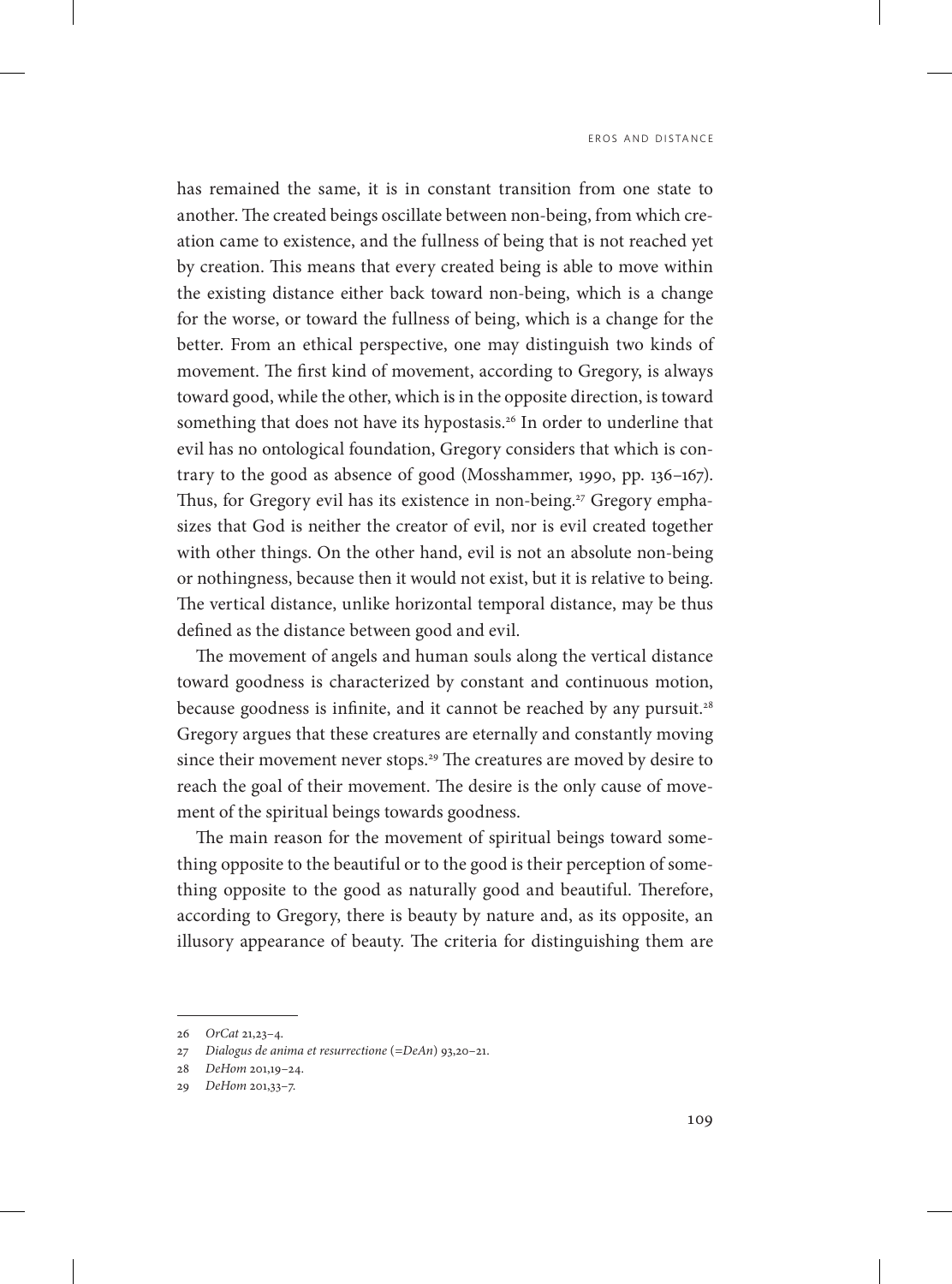has remained the same, it is in constant transition from one state to another. The created beings oscillate between non-being, from which creation came to existence, and the fullness of being that is not reached yet by creation. This means that every created being is able to move within the existing distance either back toward non-being, which is a change for the worse, or toward the fullness of being, which is a change for the better. From an ethical perspective, one may distinguish two kinds of movement. The first kind of movement, according to Gregory, is always toward good, while the other, which is in the opposite direction, is toward something that does not have its hypostasis.<sup>26</sup> In order to underline that evil has no ontological foundation, Gregory considers that which is contrary to the good as absence of good (Mosshammer, 1990, pp. 136–167). Thus, for Gregory evil has its existence in non-being.<sup>27</sup> Gregory emphasizes that God is neither the creator of evil, nor is evil created together with other things. On the other hand, evil is not an absolute non-being or nothingness, because then it would not exist, but it is relative to being. The vertical distance, unlike horizontal temporal distance, may be thus defined as the distance between good and evil.

The movement of angels and human souls along the vertical distance toward goodness is characterized by constant and continuous motion, because goodness is infinite, and it cannot be reached by any pursuit.<sup>28</sup> Gregory argues that these creatures are eternally and constantly moving since their movement never stops.<sup>29</sup> The creatures are moved by desire to reach the goal of their movement. The desire is the only cause of movement of the spiritual beings towards goodness.

The main reason for the movement of spiritual beings toward something opposite to the beautiful or to the good is their perception of something opposite to the good as naturally good and beautiful. Therefore, according to Gregory, there is beauty by nature and, as its opposite, an illusory appearance of beauty. The criteria for distinguishing them are

<sup>26</sup> *OrCat* 21,23–4.

<sup>27</sup> *Dialogus de anima et resurrectione* (*=DeAn*) 93,20–21.

<sup>28</sup> *DeHom* 201,19–24.

<sup>29</sup> *DeHom* 201,33–7.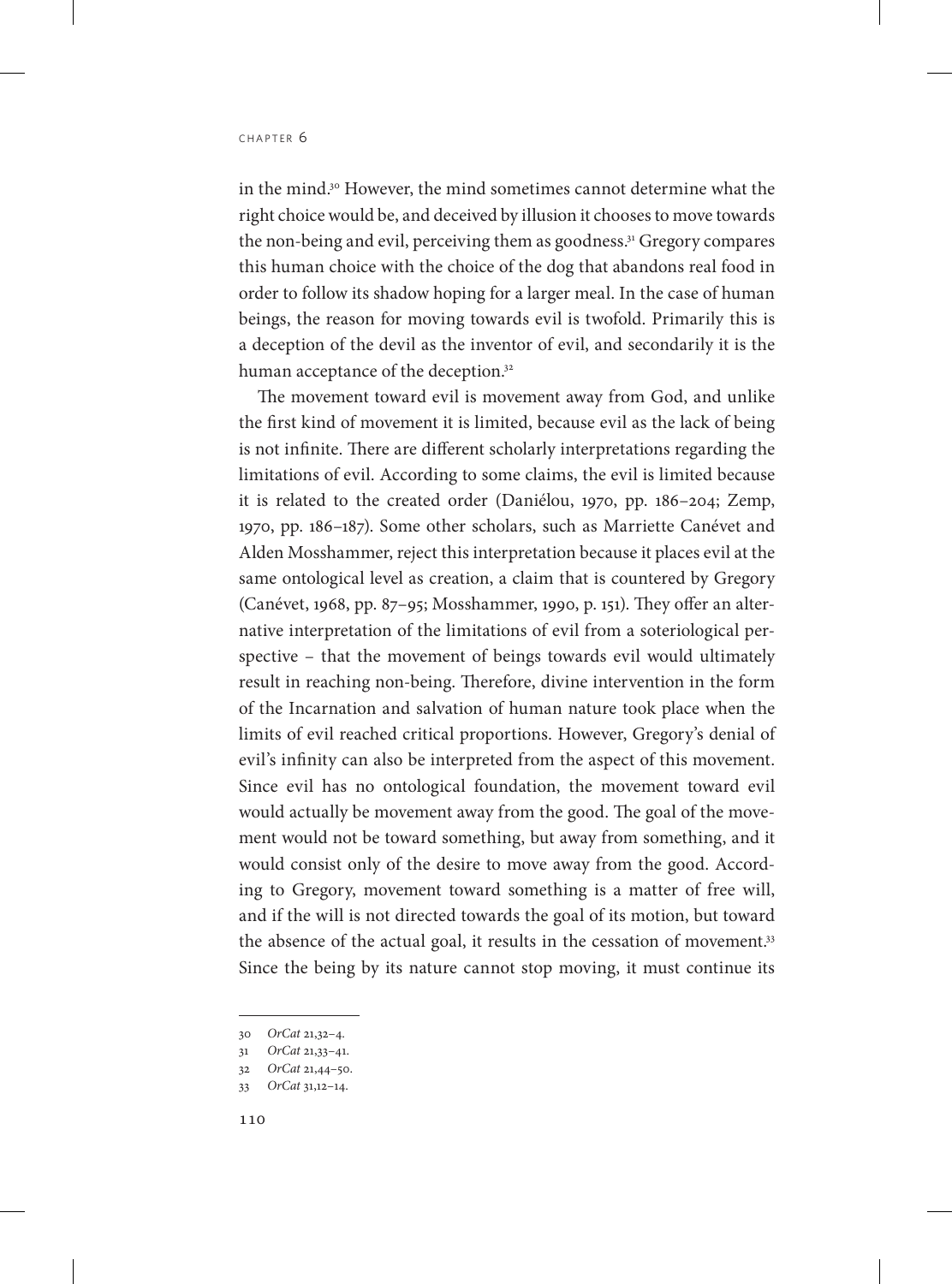in the mind.30 However, the mind sometimes cannot determine what the right choice would be, and deceived by illusion it chooses to move towards the non-being and evil, perceiving them as goodness.31 Gregory compares this human choice with the choice of the dog that abandons real food in order to follow its shadow hoping for a larger meal. In the case of human beings, the reason for moving towards evil is twofold. Primarily this is a deception of the devil as the inventor of evil, and secondarily it is the human acceptance of the deception.<sup>32</sup>

The movement toward evil is movement away from God, and unlike the first kind of movement it is limited, because evil as the lack of being is not infinite. There are different scholarly interpretations regarding the limitations of evil. According to some claims, the evil is limited because it is related to the created order (Daniélou, 1970, pp. 186–204; Zemp, 1970, pp. 186–187). Some other scholars, such as Marriette Canévet and Alden Mosshammer, reject this interpretation because it places evil at the same ontological level as creation, a claim that is countered by Gregory (Canévet, 1968, pp. 87–95; Mosshammer, 1990, p. 151). They offer an alternative interpretation of the limitations of evil from a soteriological perspective – that the movement of beings towards evil would ultimately result in reaching non-being. Therefore, divine intervention in the form of the Incarnation and salvation of human nature took place when the limits of evil reached critical proportions. However, Gregory's denial of evil's infinity can also be interpreted from the aspect of this movement. Since evil has no ontological foundation, the movement toward evil would actually be movement away from the good. The goal of the movement would not be toward something, but away from something, and it would consist only of the desire to move away from the good. According to Gregory, movement toward something is a matter of free will, and if the will is not directed towards the goal of its motion, but toward the absence of the actual goal, it results in the cessation of movement.<sup>33</sup> Since the being by its nature cannot stop moving, it must continue its

<sup>30</sup> *OrCat* 21,32–4.

<sup>31</sup> *OrCat* 21,33–41.

<sup>32</sup> *OrCat* 21,44–50.

<sup>33</sup> *OrCat* 31,12–14.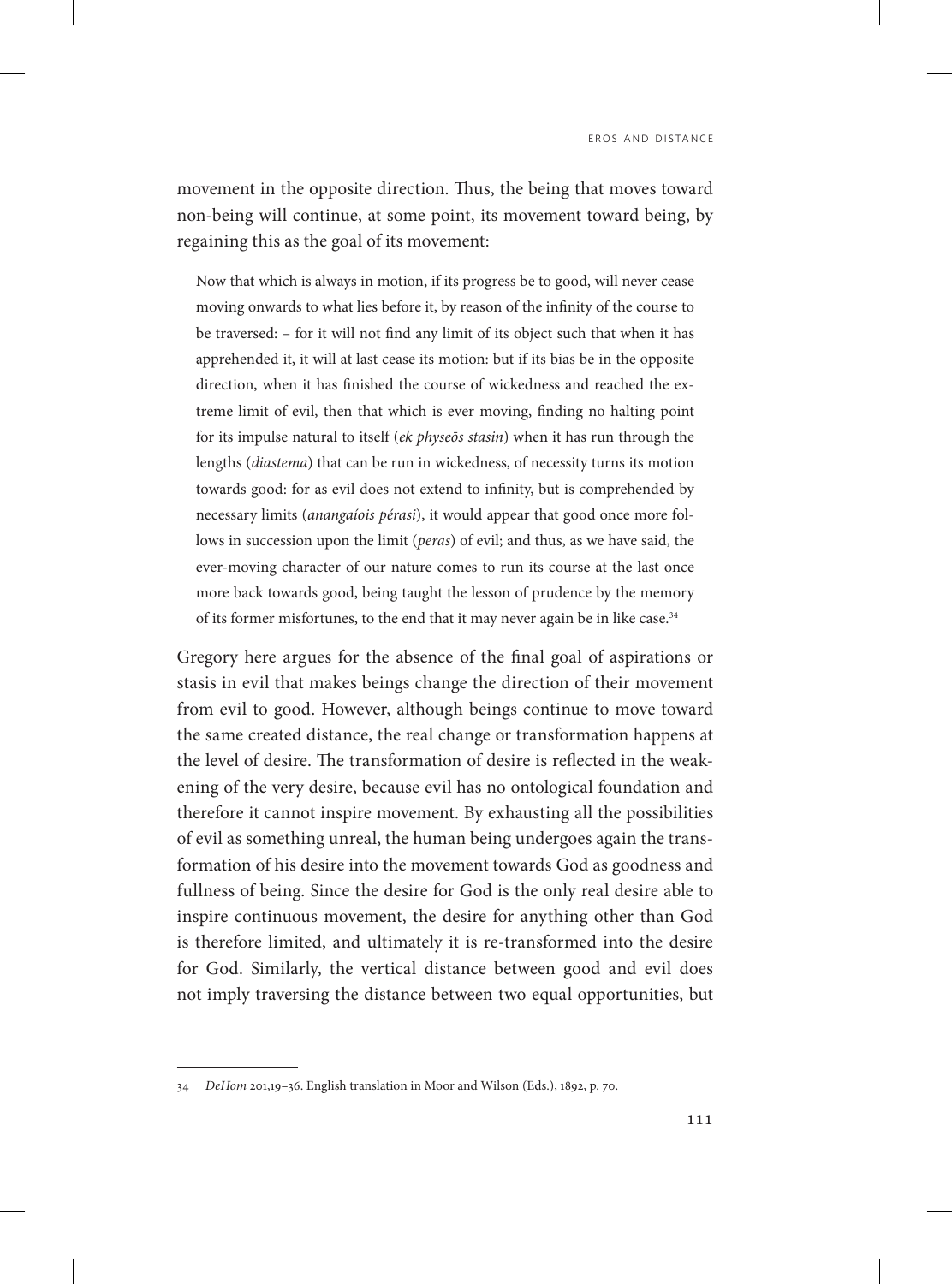movement in the opposite direction. Thus, the being that moves toward non-being will continue, at some point, its movement toward being, by regaining this as the goal of its movement:

Now that which is always in motion, if its progress be to good, will never cease moving onwards to what lies before it, by reason of the infinity of the course to be traversed: – for it will not find any limit of its object such that when it has apprehended it, it will at last cease its motion: but if its bias be in the opposite direction, when it has finished the course of wickedness and reached the extreme limit of evil, then that which is ever moving, finding no halting point for its impulse natural to itself (*ek physeōs stasin*) when it has run through the lengths (*diastema*) that can be run in wickedness, of necessity turns its motion towards good: for as evil does not extend to infinity, but is comprehended by necessary limits (*anangaíois pérasi*), it would appear that good once more follows in succession upon the limit (*peras*) of evil; and thus, as we have said, the ever-moving character of our nature comes to run its course at the last once more back towards good, being taught the lesson of prudence by the memory of its former misfortunes, to the end that it may never again be in like case.<sup>34</sup>

Gregory here argues for the absence of the final goal of aspirations or stasis in evil that makes beings change the direction of their movement from evil to good. However, although beings continue to move toward the same created distance, the real change or transformation happens at the level of desire. The transformation of desire is reflected in the weakening of the very desire, because evil has no ontological foundation and therefore it cannot inspire movement. By exhausting all the possibilities of evil as something unreal, the human being undergoes again the transformation of his desire into the movement towards God as goodness and fullness of being. Since the desire for God is the only real desire able to inspire continuous movement, the desire for anything other than God is therefore limited, and ultimately it is re-transformed into the desire for God. Similarly, the vertical distance between good and evil does not imply traversing the distance between two equal opportunities, but

<sup>34</sup> *DeHom* 201,19–36. English translation in Moor and Wilson (Eds.), 1892, p. 70.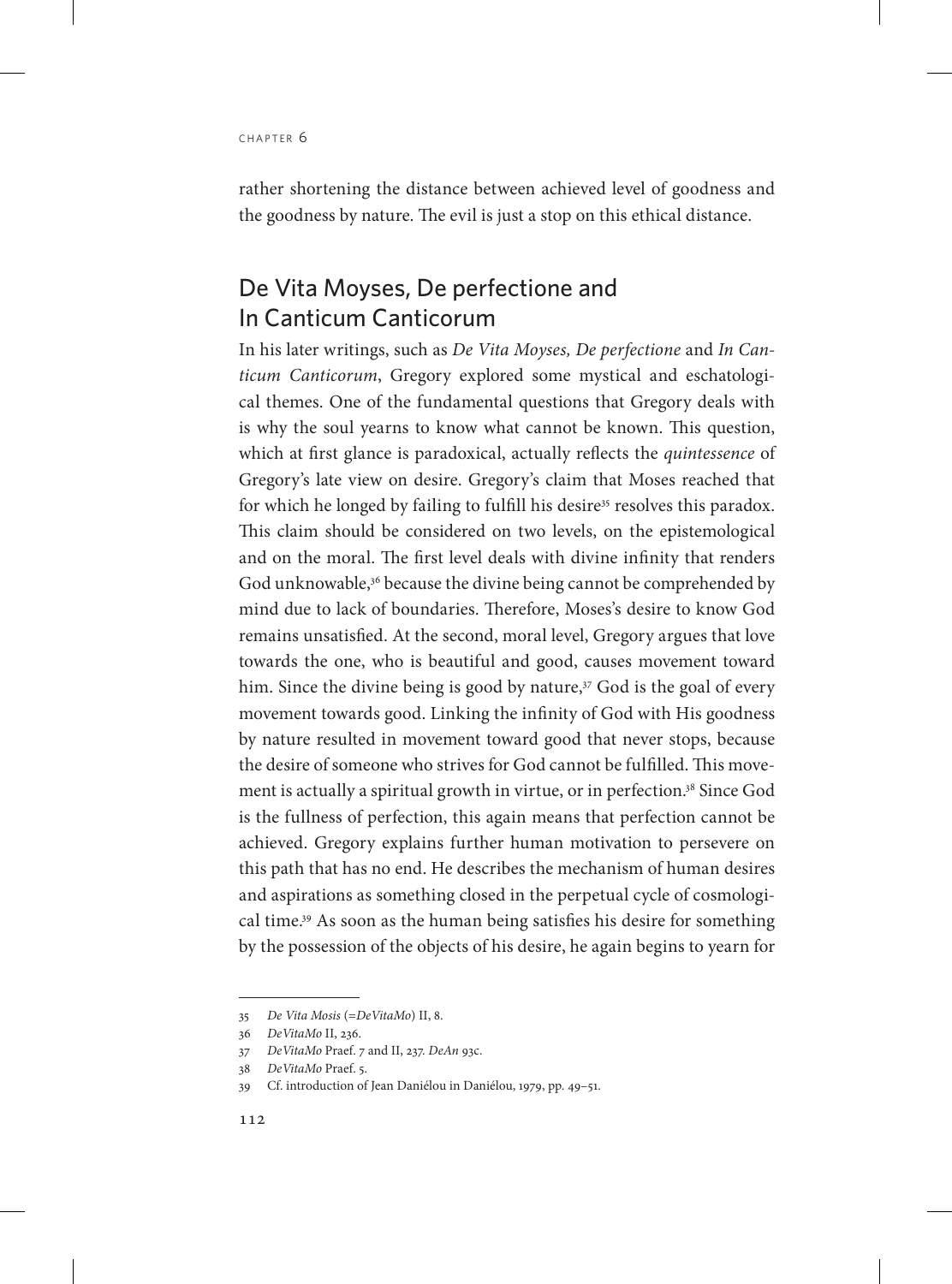rather shortening the distance between achieved level of goodness and the goodness by nature. The evil is just a stop on this ethical distance.

#### De Vita Moyses, De perfectione and In Canticum Canticorum

In his later writings, such as *De Vita Moyses, De perfectione* and *In Canticum Canticorum*, Gregory explored some mystical and eschatological themes. One of the fundamental questions that Gregory deals with is why the soul yearns to know what cannot be known. This question, which at first glance is paradoxical, actually reflects the *quintessence* of Gregory's late view on desire. Gregory's claim that Moses reached that for which he longed by failing to fulfill his desire<sup>35</sup> resolves this paradox. This claim should be considered on two levels, on the epistemological and on the moral. The first level deals with divine infinity that renders God unknowable,<sup>36</sup> because the divine being cannot be comprehended by mind due to lack of boundaries. Therefore, Moses's desire to know God remains unsatisfied. At the second, moral level, Gregory argues that love towards the one, who is beautiful and good, causes movement toward him. Since the divine being is good by nature, $37$  God is the goal of every movement towards good. Linking the infinity of God with His goodness by nature resulted in movement toward good that never stops, because the desire of someone who strives for God cannot be fulfilled. This movement is actually a spiritual growth in virtue, or in perfection.<sup>38</sup> Since God is the fullness of perfection, this again means that perfection cannot be achieved. Gregory explains further human motivation to persevere on this path that has no end. He describes the mechanism of human desires and aspirations as something closed in the perpetual cycle of cosmological time.39 As soon as the human being satisfies his desire for something by the possession of the objects of his desire, he again begins to yearn for

<sup>35</sup> *De Vita Mosis* (=*DeVitaMo*) II, 8.

<sup>36</sup> *DeVitaMo* II, 236.

<sup>37</sup> *DeVitaMo* Praef. 7 and II, 237. *DeAn* 93c.

<sup>38</sup> *DeVitaMo* Praef. 5.

<sup>39</sup> Cf. introduction of Jean Daniélou in Daniélou, 1979, pp. 49–51.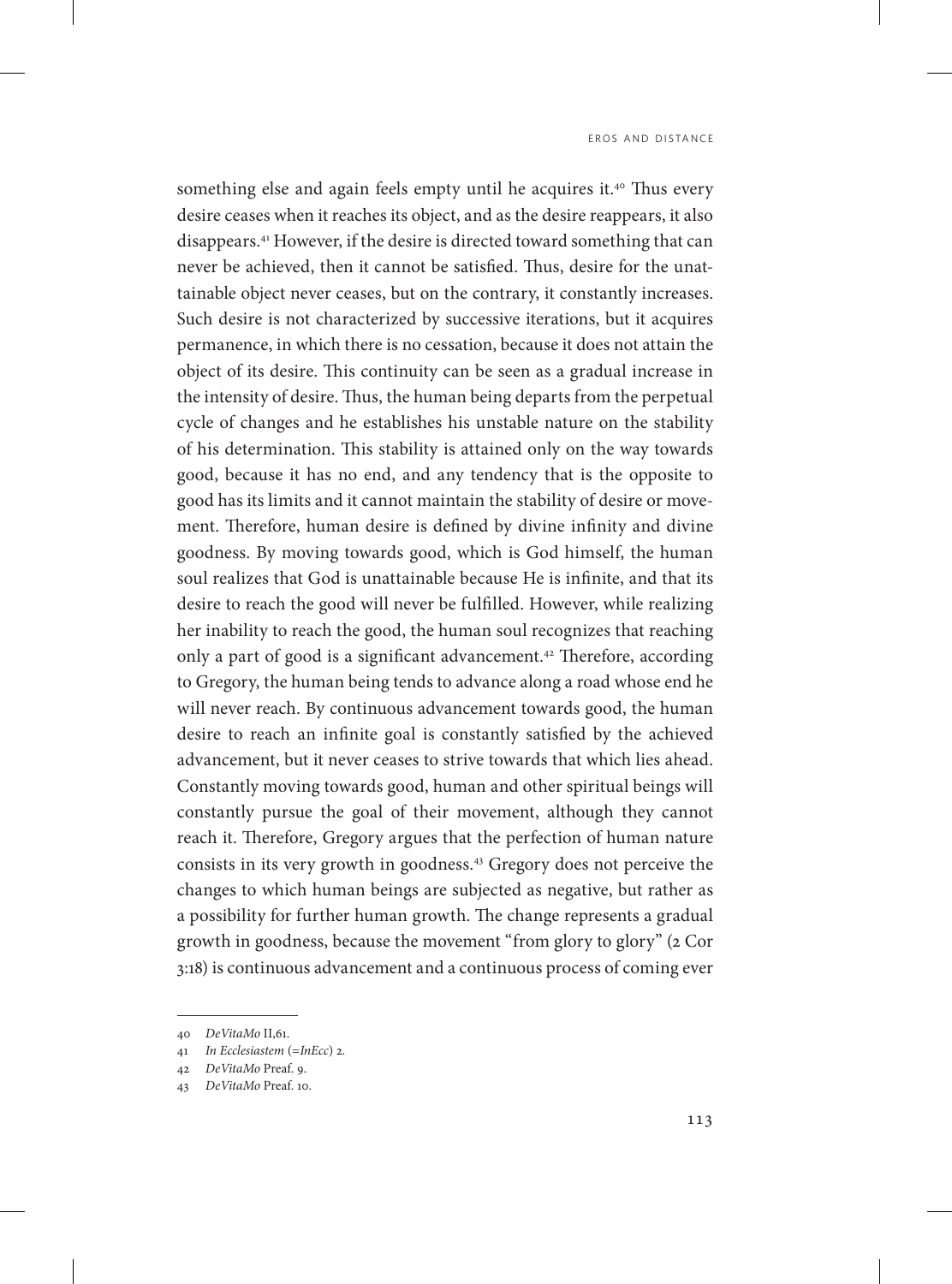something else and again feels empty until he acquires it.<sup>40</sup> Thus every desire ceases when it reaches its object, and as the desire reappears, it also disappears.41 However, if the desire is directed toward something that can never be achieved, then it cannot be satisfied. Thus, desire for the unattainable object never ceases, but on the contrary, it constantly increases. Such desire is not characterized by successive iterations, but it acquires permanence, in which there is no cessation, because it does not attain the object of its desire. This continuity can be seen as a gradual increase in the intensity of desire. Thus, the human being departs from the perpetual cycle of changes and he establishes his unstable nature on the stability of his determination. This stability is attained only on the way towards good, because it has no end, and any tendency that is the opposite to good has its limits and it cannot maintain the stability of desire or movement. Therefore, human desire is defined by divine infinity and divine goodness. By moving towards good, which is God himself, the human soul realizes that God is unattainable because He is infinite, and that its desire to reach the good will never be fulfilled. However, while realizing her inability to reach the good, the human soul recognizes that reaching only a part of good is a significant advancement.42 Therefore, according to Gregory, the human being tends to advance along a road whose end he will never reach. By continuous advancement towards good, the human desire to reach an infinite goal is constantly satisfied by the achieved advancement, but it never ceases to strive towards that which lies ahead. Constantly moving towards good, human and other spiritual beings will constantly pursue the goal of their movement, although they cannot reach it. Therefore, Gregory argues that the perfection of human nature consists in its very growth in goodness.43 Gregory does not perceive the changes to which human beings are subjected as negative, but rather as a possibility for further human growth. The change represents a gradual growth in goodness, because the movement "from glory to glory" (2 Cor 3:18) is continuous advancement and a continuous process of coming ever

<sup>40</sup> *DeVitaMo* II,61.

<sup>41</sup> *In Ecclesiastem* (=*InEcc*) 2.

<sup>42</sup> *DeVitaMo* Preaf. 9.

<sup>43</sup> *DeVitaMo* Preaf. 10.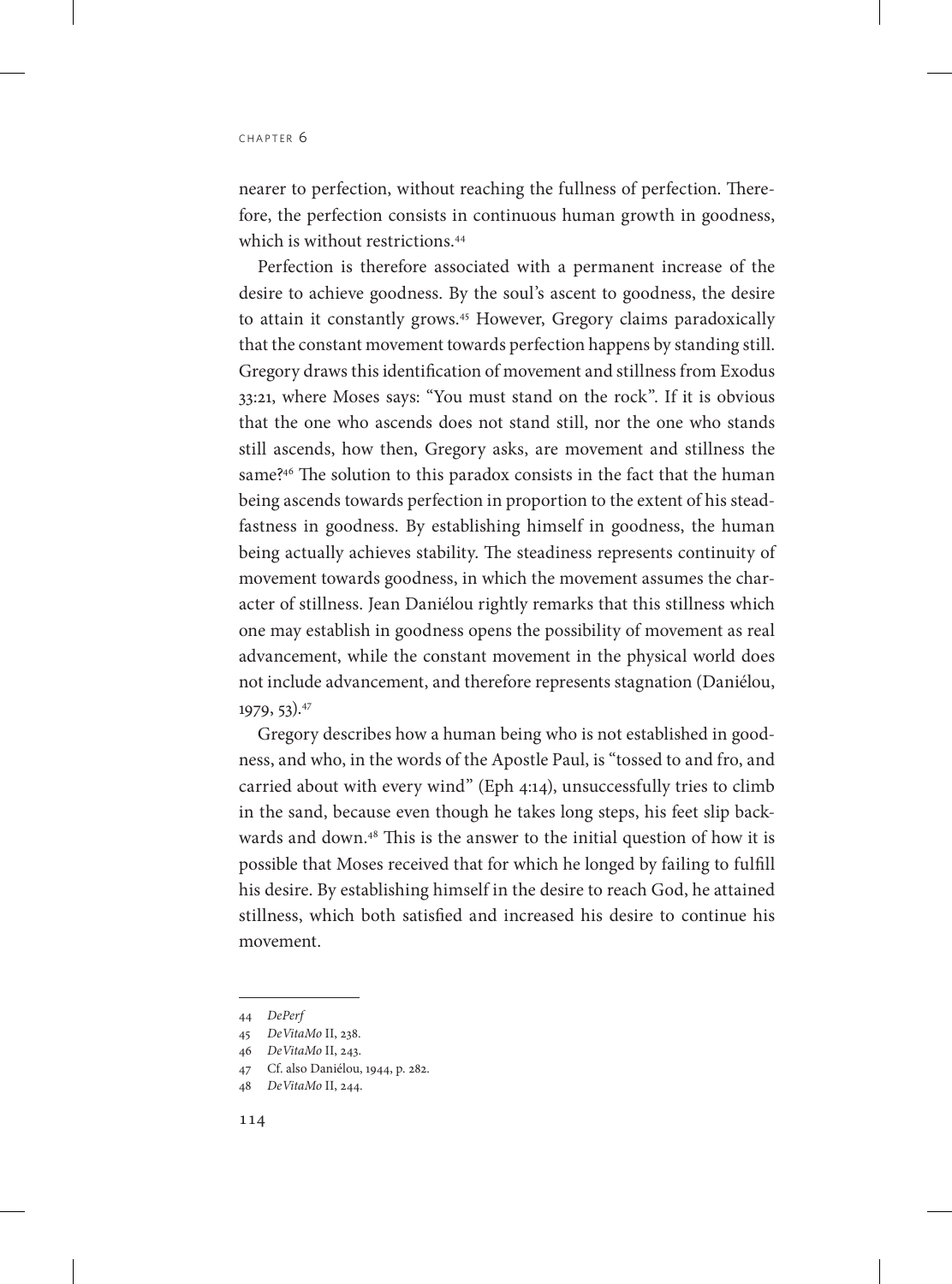nearer to perfection, without reaching the fullness of perfection. Therefore, the perfection consists in continuous human growth in goodness, which is without restrictions.<sup>44</sup>

Perfection is therefore associated with a permanent increase of the desire to achieve goodness. By the soul's ascent to goodness, the desire to attain it constantly grows.<sup>45</sup> However, Gregory claims paradoxically that the constant movement towards perfection happens by standing still. Gregory draws this identification of movement and stillness from Exodus 33:21, where Moses says: "You must stand on the rock". If it is obvious that the one who ascends does not stand still, nor the one who stands still ascends, how then, Gregory asks, are movement and stillness the same?<sup>46</sup> The solution to this paradox consists in the fact that the human being ascends towards perfection in proportion to the extent of his steadfastness in goodness. By establishing himself in goodness, the human being actually achieves stability. The steadiness represents continuity of movement towards goodness, in which the movement assumes the character of stillness. Jean Daniélou rightly remarks that this stillness which one may establish in goodness opens the possibility of movement as real advancement, while the constant movement in the physical world does not include advancement, and therefore represents stagnation (Daniélou, 1979, 53).47

Gregory describes how a human being who is not established in goodness, and who, in the words of the Apostle Paul, is "tossed to and fro, and carried about with every wind" (Eph 4:14), unsuccessfully tries to climb in the sand, because even though he takes long steps, his feet slip backwards and down.<sup>48</sup> This is the answer to the initial question of how it is possible that Moses received that for which he longed by failing to fulfill his desire. By establishing himself in the desire to reach God, he attained stillness, which both satisfied and increased his desire to continue his movement.

<sup>44</sup> *DePerf*

<sup>45</sup> *DeVitaMo* II, 238.

<sup>46</sup> *DeVitaMo* II, 243.

<sup>47</sup> Cf. also Daniélou, 1944, p. 282.

<sup>48</sup> *DeVitaMo* II, 244.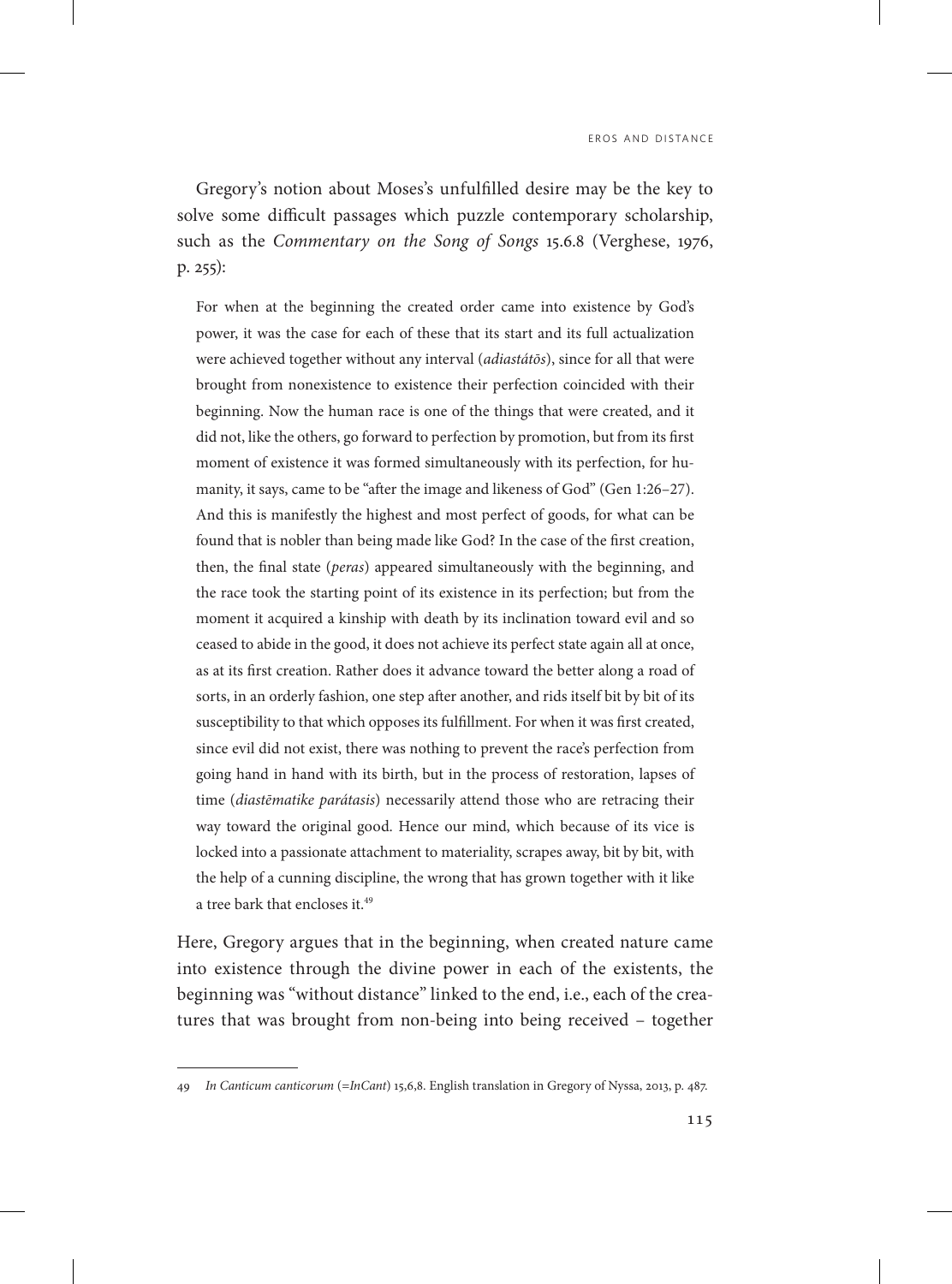Gregory's notion about Moses's unfulfilled desire may be the key to solve some difficult passages which puzzle contemporary scholarship, such as the *Commentary on the Song of Songs* 15.6.8 (Verghese, 1976, p. 255):

For when at the beginning the created order came into existence by God's power, it was the case for each of these that its start and its full actualization were achieved together without any interval (*adiastátōs*), since for all that were brought from nonexistence to existence their perfection coincided with their beginning. Now the human race is one of the things that were created, and it did not, like the others, go forward to perfection by promotion, but from its first moment of existence it was formed simultaneously with its perfection, for humanity, it says, came to be "after the image and likeness of God" (Gen 1:26–27). And this is manifestly the highest and most perfect of goods, for what can be found that is nobler than being made like God? In the case of the first creation, then, the final state (*peras*) appeared simultaneously with the beginning, and the race took the starting point of its existence in its perfection; but from the moment it acquired a kinship with death by its inclination toward evil and so ceased to abide in the good, it does not achieve its perfect state again all at once, as at its first creation. Rather does it advance toward the better along a road of sorts, in an orderly fashion, one step after another, and rids itself bit by bit of its susceptibility to that which opposes its fulfillment. For when it was first created, since evil did not exist, there was nothing to prevent the race's perfection from going hand in hand with its birth, but in the process of restoration, lapses of time (*diastēmatike parátasis*) necessarily attend those who are retracing their way toward the original good. Hence our mind, which because of its vice is locked into a passionate attachment to materiality, scrapes away, bit by bit, with the help of a cunning discipline, the wrong that has grown together with it like a tree bark that encloses it.49

Here, Gregory argues that in the beginning, when created nature came into existence through the divine power in each of the existents, the beginning was "without distance" linked to the end, i.e., each of the creatures that was brought from non-being into being received – together

<sup>49</sup> *In Canticum canticorum* (=*InCant*) 15,6,8. English translation in Gregory of Nyssa, 2013, p. 487.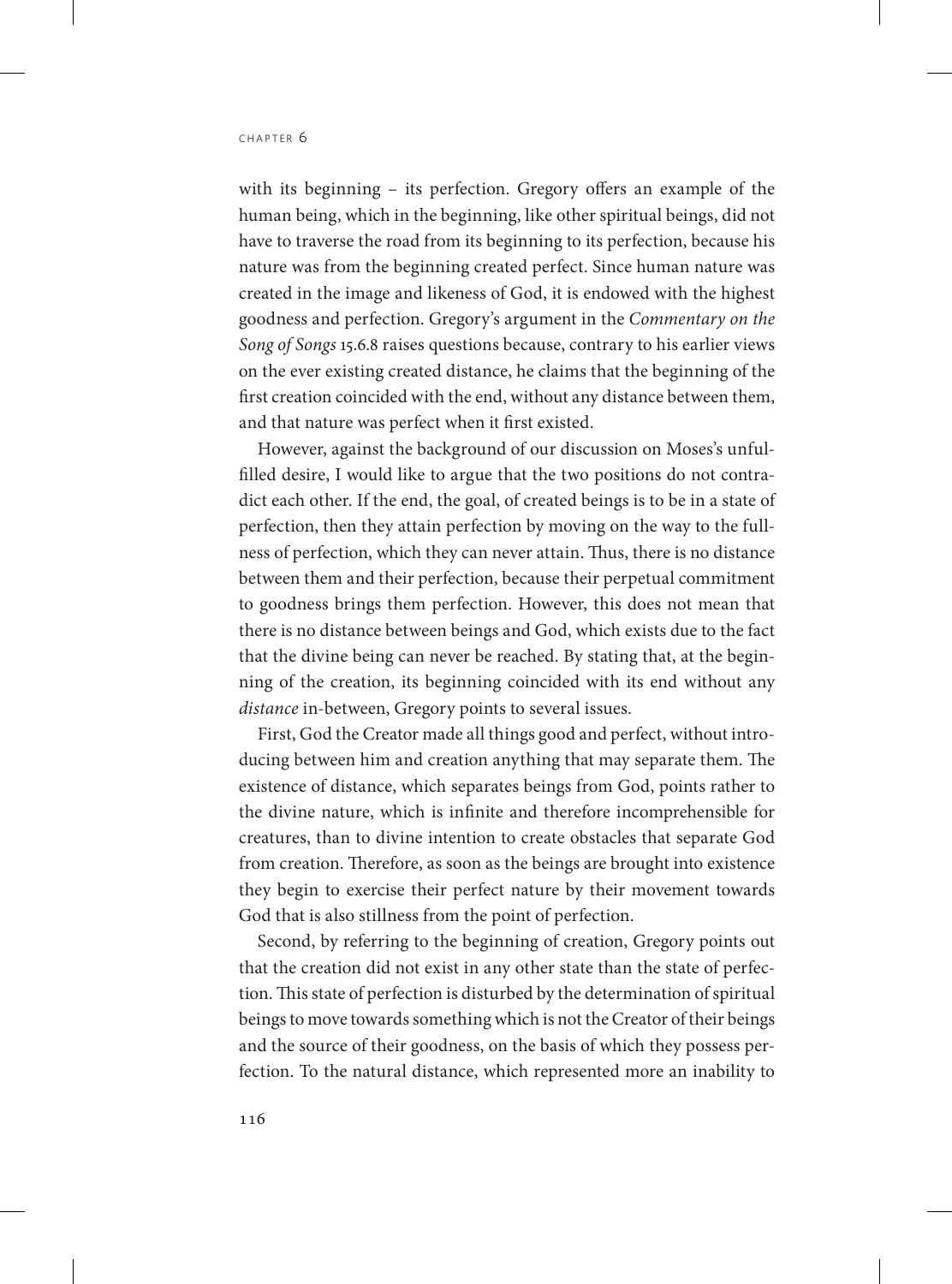with its beginning – its perfection. Gregory offers an example of the human being, which in the beginning, like other spiritual beings, did not have to traverse the road from its beginning to its perfection, because his nature was from the beginning created perfect. Since human nature was created in the image and likeness of God, it is endowed with the highest goodness and perfection. Gregory's argument in the *Commentary on the Song of Songs* 15.6.8 raises questions because, contrary to his earlier views on the ever existing created distance, he claims that the beginning of the first creation coincided with the end, without any distance between them, and that nature was perfect when it first existed.

However, against the background of our discussion on Moses's unfulfilled desire, I would like to argue that the two positions do not contradict each other. If the end, the goal, of created beings is to be in a state of perfection, then they attain perfection by moving on the way to the fullness of perfection, which they can never attain. Thus, there is no distance between them and their perfection, because their perpetual commitment to goodness brings them perfection. However, this does not mean that there is no distance between beings and God, which exists due to the fact that the divine being can never be reached. By stating that, at the beginning of the creation, its beginning coincided with its end without any *distance* in-between, Gregory points to several issues.

First, God the Creator made all things good and perfect, without introducing between him and creation anything that may separate them. The existence of distance, which separates beings from God, points rather to the divine nature, which is infinite and therefore incomprehensible for creatures, than to divine intention to create obstacles that separate God from creation. Therefore, as soon as the beings are brought into existence they begin to exercise their perfect nature by their movement towards God that is also stillness from the point of perfection.

Second, by referring to the beginning of creation, Gregory points out that the creation did not exist in any other state than the state of perfection. This state of perfection is disturbed by the determination of spiritual beings to move towards something which is not the Creator of their beings and the source of their goodness, on the basis of which they possess perfection. To the natural distance, which represented more an inability to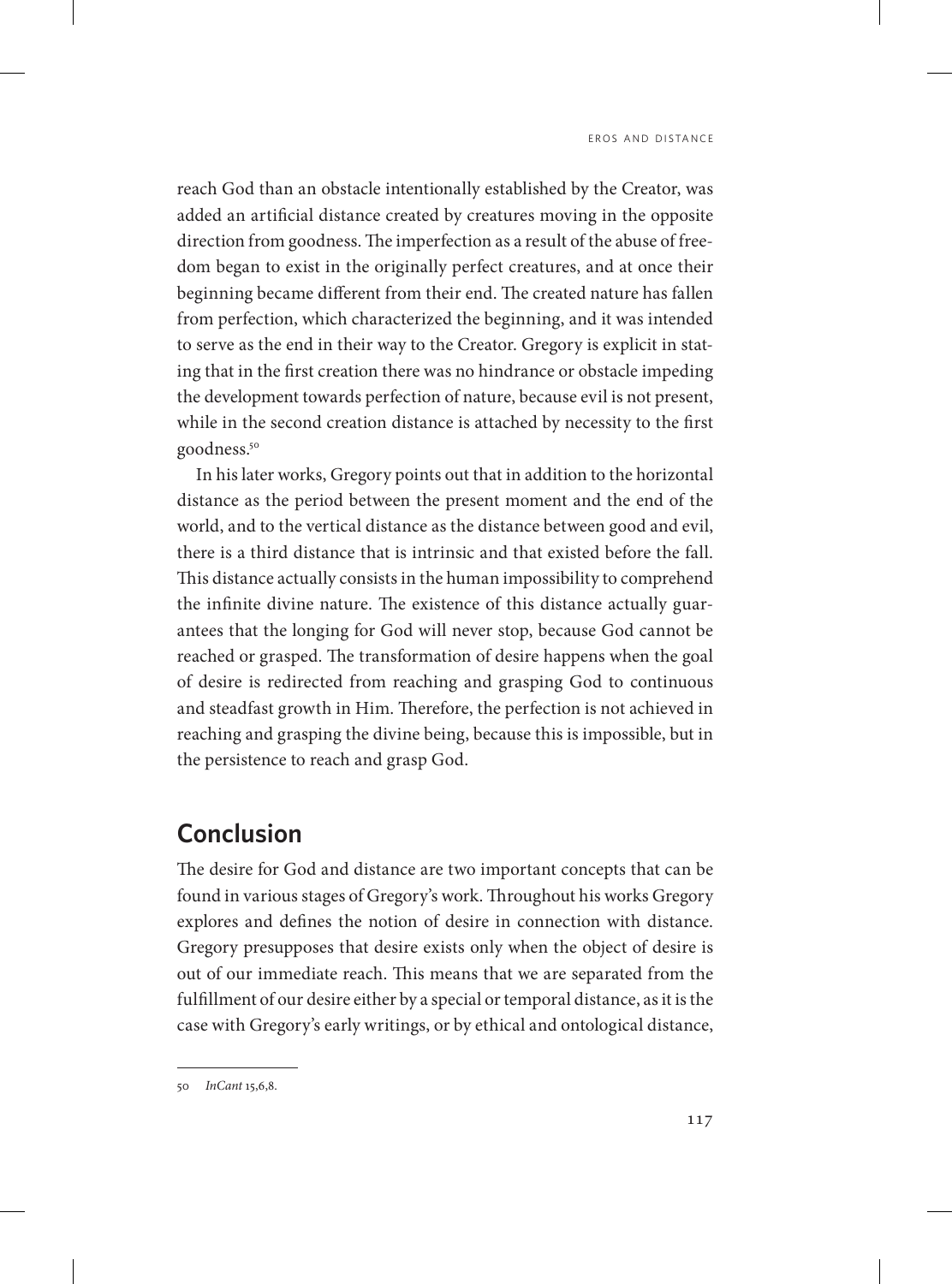reach God than an obstacle intentionally established by the Creator, was added an artificial distance created by creatures moving in the opposite direction from goodness. The imperfection as a result of the abuse of freedom began to exist in the originally perfect creatures, and at once their beginning became different from their end. The created nature has fallen from perfection, which characterized the beginning, and it was intended to serve as the end in their way to the Creator. Gregory is explicit in stating that in the first creation there was no hindrance or obstacle impeding the development towards perfection of nature, because evil is not present, while in the second creation distance is attached by necessity to the first goodness.50

In his later works, Gregory points out that in addition to the horizontal distance as the period between the present moment and the end of the world, and to the vertical distance as the distance between good and evil, there is a third distance that is intrinsic and that existed before the fall. This distance actually consists in the human impossibility to comprehend the infinite divine nature. The existence of this distance actually guarantees that the longing for God will never stop, because God cannot be reached or grasped. The transformation of desire happens when the goal of desire is redirected from reaching and grasping God to continuous and steadfast growth in Him. Therefore, the perfection is not achieved in reaching and grasping the divine being, because this is impossible, but in the persistence to reach and grasp God.

#### **Conclusion**

The desire for God and distance are two important concepts that can be found in various stages of Gregory's work. Throughout his works Gregory explores and defines the notion of desire in connection with distance. Gregory presupposes that desire exists only when the object of desire is out of our immediate reach. This means that we are separated from the fulfillment of our desire either by a special or temporal distance, as it is the case with Gregory's early writings, or by ethical and ontological distance,

<sup>50</sup> *InCant* 15,6,8.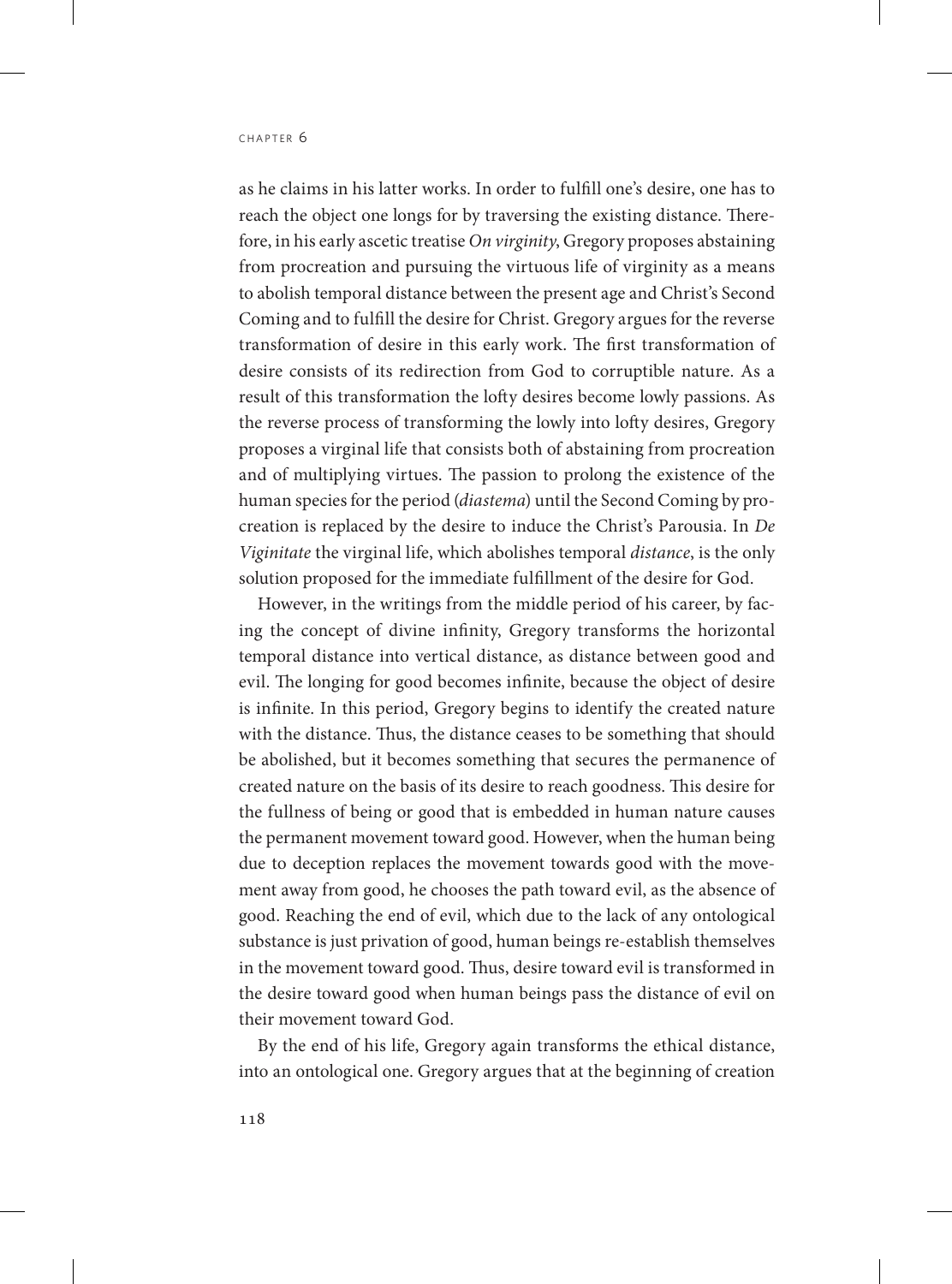as he claims in his latter works. In order to fulfill one's desire, one has to reach the object one longs for by traversing the existing distance. Therefore, in his early ascetic treatise *On virginity*, Gregory proposes abstaining from procreation and pursuing the virtuous life of virginity as a means to abolish temporal distance between the present age and Christ's Second Coming and to fulfill the desire for Christ. Gregory argues for the reverse transformation of desire in this early work. The first transformation of desire consists of its redirection from God to corruptible nature. As a result of this transformation the lofty desires become lowly passions. As the reverse process of transforming the lowly into lofty desires, Gregory proposes a virginal life that consists both of abstaining from procreation and of multiplying virtues. The passion to prolong the existence of the human species for the period (*diastema*) until the Second Coming by procreation is replaced by the desire to induce the Christ's Parousia. In *De Viginitate* the virginal life, which abolishes temporal *distance*, is the only solution proposed for the immediate fulfillment of the desire for God.

However, in the writings from the middle period of his career, by facing the concept of divine infinity, Gregory transforms the horizontal temporal distance into vertical distance, as distance between good and evil. The longing for good becomes infinite, because the object of desire is infinite. In this period, Gregory begins to identify the created nature with the distance. Thus, the distance ceases to be something that should be abolished, but it becomes something that secures the permanence of created nature on the basis of its desire to reach goodness. This desire for the fullness of being or good that is embedded in human nature causes the permanent movement toward good. However, when the human being due to deception replaces the movement towards good with the movement away from good, he chooses the path toward evil, as the absence of good. Reaching the end of evil, which due to the lack of any ontological substance is just privation of good, human beings re-establish themselves in the movement toward good. Thus, desire toward evil is transformed in the desire toward good when human beings pass the distance of evil on their movement toward God.

By the end of his life, Gregory again transforms the ethical distance, into an ontological one. Gregory argues that at the beginning of creation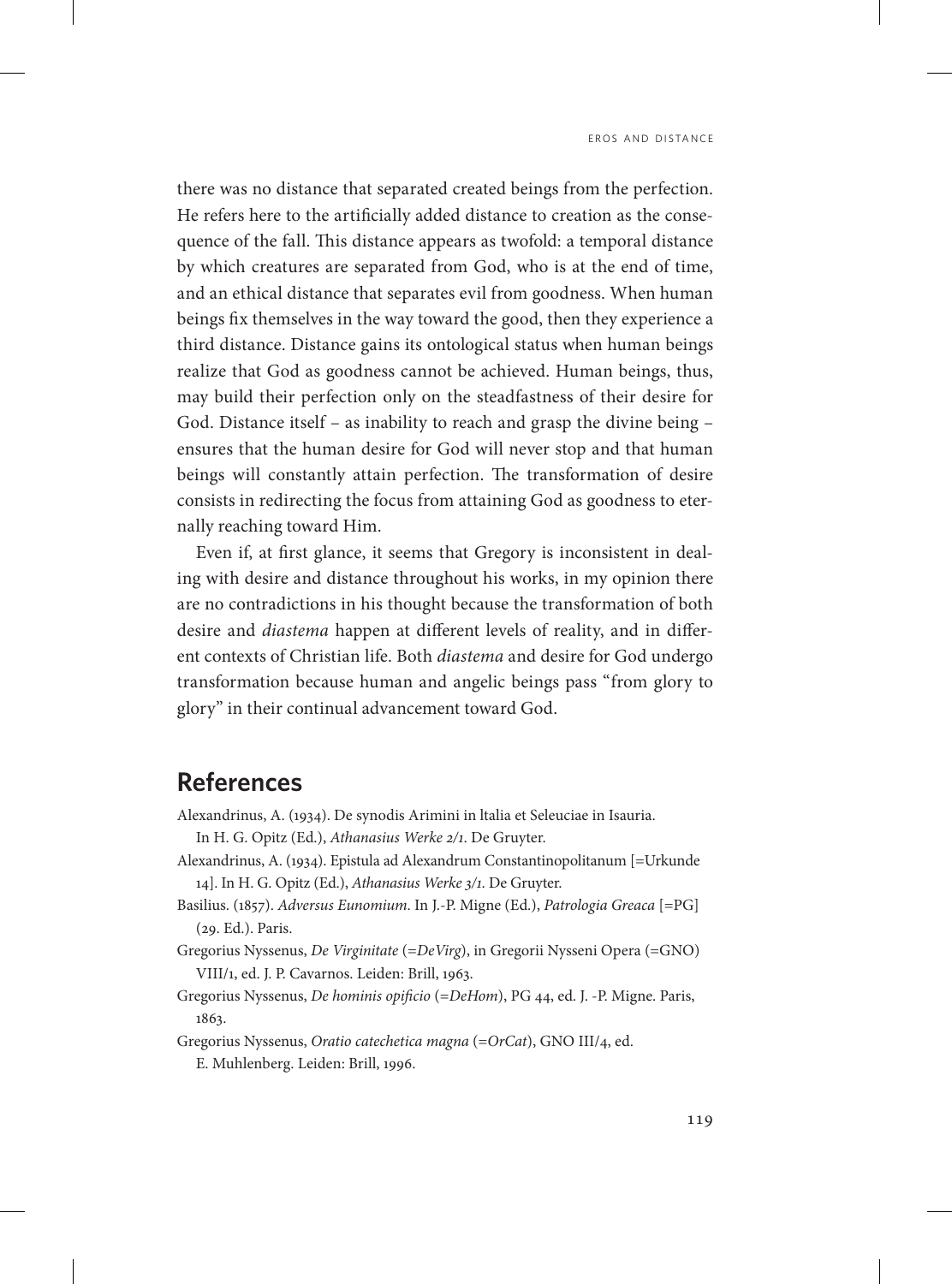there was no distance that separated created beings from the perfection. He refers here to the artificially added distance to creation as the consequence of the fall. This distance appears as twofold: a temporal distance by which creatures are separated from God, who is at the end of time, and an ethical distance that separates evil from goodness. When human beings fix themselves in the way toward the good, then they experience a third distance. Distance gains its ontological status when human beings realize that God as goodness cannot be achieved. Human beings, thus, may build their perfection only on the steadfastness of their desire for God. Distance itself – as inability to reach and grasp the divine being – ensures that the human desire for God will never stop and that human beings will constantly attain perfection. The transformation of desire consists in redirecting the focus from attaining God as goodness to eternally reaching toward Him.

Even if, at first glance, it seems that Gregory is inconsistent in dealing with desire and distance throughout his works, in my opinion there are no contradictions in his thought because the transformation of both desire and *diastema* happen at different levels of reality, and in different contexts of Christian life. Both *diastema* and desire for God undergo transformation because human and angelic beings pass "from glory to glory" in their continual advancement toward God.

#### **References**

- Alexandrinus, A. (1934). De synodis Arimini in ltalia et Seleuciae in Isauria.
- In H. G. Opitz (Ed.), *Athanasius Werke 2/1*. De Gruyter.
- Alexandrinus, A. (1934). Epistula ad Alexandrum Constantinopolitanum [=Urkunde 14]. In H. G. Opitz (Ed.), *Athanasius Werke 3/1*. De Gruyter.
- Basilius. (1857). *Adversus Eunomium*. In J.-P. Migne (Ed.), *Patrologia Greaca* [=PG] (29. Ed.). Paris.
- Gregorius Nyssenus, *De Virginitate* (=*DeVirg*), in Gregorii Nysseni Opera (=GNO) VIII/1, ed. J. P. Cavarnos. Leiden: Brill, 1963.
- Gregorius Nyssenus, *De hominis opificio* (=*DeHom*), PG 44, ed. J. -P. Migne. Paris, 1863.

Gregorius Nyssenus, *Oratio catechetica magna* (=*OrCat*), GNO III/4, ed.

E. Muhlenberg. Leiden: Brill, 1996.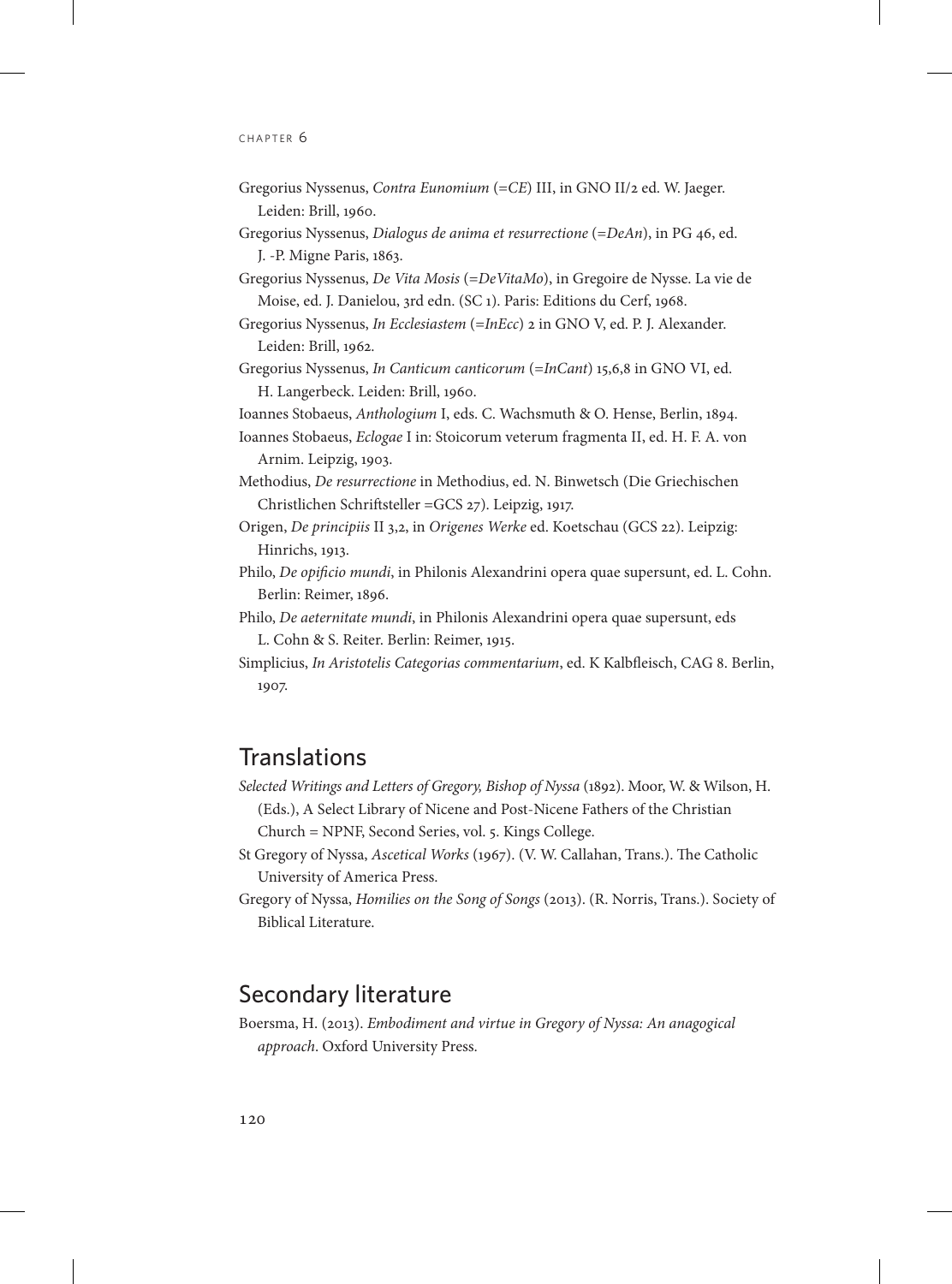- Gregorius Nyssenus, *Contra Eunomium* (=*CE*) III, in GNO II/2 ed. W. Jaeger. Leiden: Brill, 1960.
- Gregorius Nyssenus, *Dialogus de anima et resurrectione* (=*DeAn*), in PG 46, ed. J. -P. Migne Paris, 1863.
- Gregorius Nyssenus, *De Vita Mosis* (=*DeVitaMo*), in Gregoire de Nysse. La vie de Moise, ed. J. Danielou, 3rd edn. (SC 1). Paris: Editions du Cerf, 1968.
- Gregorius Nyssenus, *In Ecclesiastem* (=*InEcc*) 2 in GNO V, ed. P. J. Alexander. Leiden: Brill, 1962.
- Gregorius Nyssenus, *In Canticum canticorum* (=*InCant*) 15,6,8 in GNO VI, ed. H. Langerbeck. Leiden: Brill, 1960.
- Ioannes Stobaeus, *Anthologium* I, eds. C. Wachsmuth & O. Hense, Berlin, 1894.
- Ioannes Stobaeus, *Eclogae* I in: Stoicorum veterum fragmenta II, ed. H. F. A. von Arnim. Leipzig, 1903.
- Methodius, *De resurrectione* in Methodius, ed. N. Binwetsch (Die Griechischen Christlichen Schriftsteller =GCS 27). Leipzig, 1917.
- Origen, *De principiis* II 3,2, in *Origenes Werke* ed. Koetschau (GCS 22). Leipzig: Hinrichs, 1913.
- Philo, *De opificio mundi*, in Philonis Alexandrini opera quae supersunt, ed. L. Cohn. Berlin: Reimer, 1896.
- Philo, *De aeternitate mundi*, in Philonis Alexandrini opera quae supersunt, eds L. Cohn & S. Reiter. Berlin: Reimer, 1915.
- Simplicius, *In Aristotelis Categorias commentarium*, ed. K Kalbfleisch, CAG 8. Berlin, 1907.

#### **Translations**

- *Selected Writings and Letters of Gregory, Bishop of Nyssa* (1892). Moor, W. & Wilson, H. (Eds.), A Select Library of Nicene and Post-Nicene Fathers of the Christian Church = NPNF, Second Series, vol. 5. Kings College.
- St Gregory of Nyssa, *Ascetical Works* (1967). (V. W. Callahan, Trans.). The Catholic University of America Press.
- Gregory of Nyssa, *Homilies on the Song of Songs* (2013). (R. Norris, Trans.). Society of Biblical Literature.

#### Secondary literature

Boersma, H. (2013). *Embodiment and virtue in Gregory of Nyssa: An anagogical approach*. Oxford University Press.